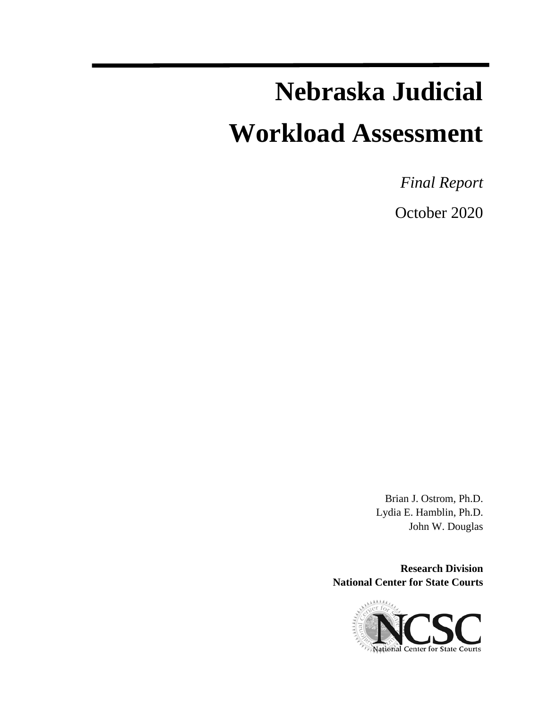# **Nebraska Judicial**

# **Workload Assessment**

*Final Report*

October 2020

Brian J. Ostrom, Ph.D. Lydia E. Hamblin, Ph.D. John W. Douglas

**Research Division National Center for State Courts**

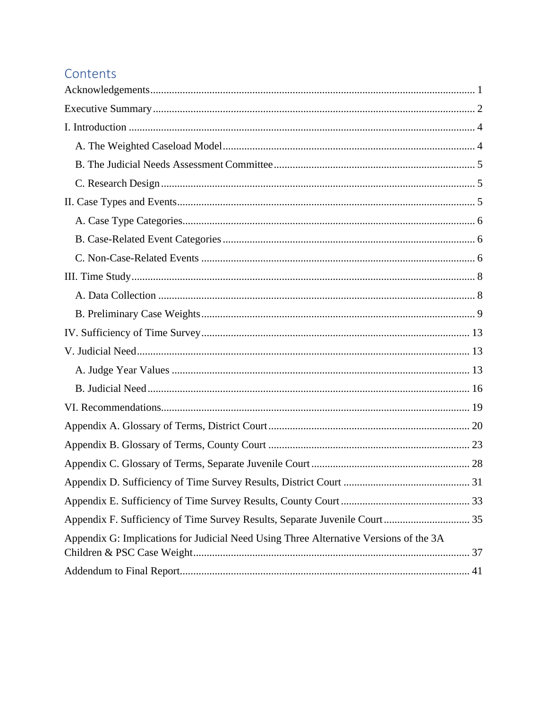# Contents

| Appendix G: Implications for Judicial Need Using Three Alternative Versions of the 3A |
|---------------------------------------------------------------------------------------|
|                                                                                       |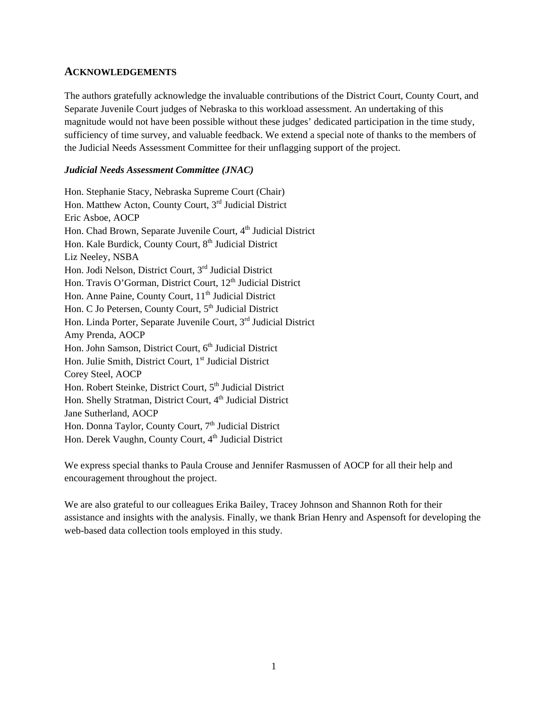# <span id="page-2-0"></span>**ACKNOWLEDGEMENTS**

The authors gratefully acknowledge the invaluable contributions of the District Court, County Court, and Separate Juvenile Court judges of Nebraska to this workload assessment. An undertaking of this magnitude would not have been possible without these judges' dedicated participation in the time study, sufficiency of time survey, and valuable feedback. We extend a special note of thanks to the members of the Judicial Needs Assessment Committee for their unflagging support of the project.

# *Judicial Needs Assessment Committee (JNAC)*

Hon. Stephanie Stacy, Nebraska Supreme Court (Chair) Hon. Matthew Acton, County Court, 3<sup>rd</sup> Judicial District Eric Asboe, AOCP Hon. Chad Brown, Separate Juvenile Court, 4<sup>th</sup> Judicial District Hon. Kale Burdick, County Court, 8<sup>th</sup> Judicial District Liz Neeley, NSBA Hon. Jodi Nelson, District Court, 3rd Judicial District Hon. Travis O'Gorman, District Court, 12<sup>th</sup> Judicial District Hon. Anne Paine, County Court, 11<sup>th</sup> Judicial District Hon. C Jo Petersen, County Court, 5<sup>th</sup> Judicial District Hon. Linda Porter, Separate Juvenile Court, 3rd Judicial District Amy Prenda, AOCP Hon. John Samson, District Court, 6<sup>th</sup> Judicial District Hon. Julie Smith, District Court, 1<sup>st</sup> Judicial District Corey Steel, AOCP Hon. Robert Steinke, District Court, 5<sup>th</sup> Judicial District Hon. Shelly Stratman, District Court, 4<sup>th</sup> Judicial District Jane Sutherland, AOCP Hon. Donna Taylor, County Court,  $7<sup>th</sup>$  Judicial District Hon. Derek Vaughn, County Court, 4<sup>th</sup> Judicial District

We express special thanks to Paula Crouse and Jennifer Rasmussen of AOCP for all their help and encouragement throughout the project.

We are also grateful to our colleagues Erika Bailey, Tracey Johnson and Shannon Roth for their assistance and insights with the analysis. Finally, we thank Brian Henry and Aspensoft for developing the web-based data collection tools employed in this study.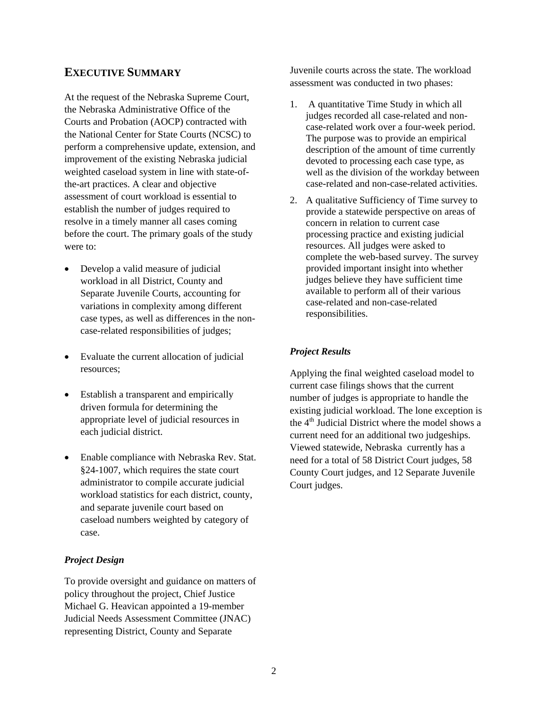# <span id="page-3-0"></span>**EXECUTIVE SUMMARY**

At the request of the Nebraska Supreme Court, the Nebraska Administrative Office of the Courts and Probation (AOCP) contracted with the National Center for State Courts (NCSC) to perform a comprehensive update, extension, and improvement of the existing Nebraska judicial weighted caseload system in line with state-ofthe-art practices. A clear and objective assessment of court workload is essential to establish the number of judges required to resolve in a timely manner all cases coming before the court. The primary goals of the study were to:

- Develop a valid measure of judicial workload in all District, County and Separate Juvenile Courts, accounting for variations in complexity among different case types, as well as differences in the noncase-related responsibilities of judges;
- Evaluate the current allocation of judicial resources;
- Establish a transparent and empirically driven formula for determining the appropriate level of judicial resources in each judicial district.
- Enable compliance with Nebraska Rev. Stat. §24-1007, which requires the state court administrator to compile accurate judicial workload statistics for each district, county, and separate juvenile court based on caseload numbers weighted by category of case.

# *Project Design*

To provide oversight and guidance on matters of policy throughout the project, Chief Justice Michael G. Heavican appointed a 19-member Judicial Needs Assessment Committee (JNAC) representing District, County and Separate

Juvenile courts across the state. The workload assessment was conducted in two phases:

- 1. A quantitative Time Study in which all judges recorded all case-related and noncase-related work over a four-week period. The purpose was to provide an empirical description of the amount of time currently devoted to processing each case type, as well as the division of the workday between case-related and non-case-related activities.
- 2. A qualitative Sufficiency of Time survey to provide a statewide perspective on areas of concern in relation to current case processing practice and existing judicial resources. All judges were asked to complete the web-based survey. The survey provided important insight into whether judges believe they have sufficient time available to perform all of their various case-related and non-case-related responsibilities.

# *Project Results*

Applying the final weighted caseload model to current case filings shows that the current number of judges is appropriate to handle the existing judicial workload. The lone exception is the 4<sup>th</sup> Judicial District where the model shows a current need for an additional two judgeships. Viewed statewide, Nebraska currently has a need for a total of 58 District Court judges, 58 County Court judges, and 12 Separate Juvenile Court judges.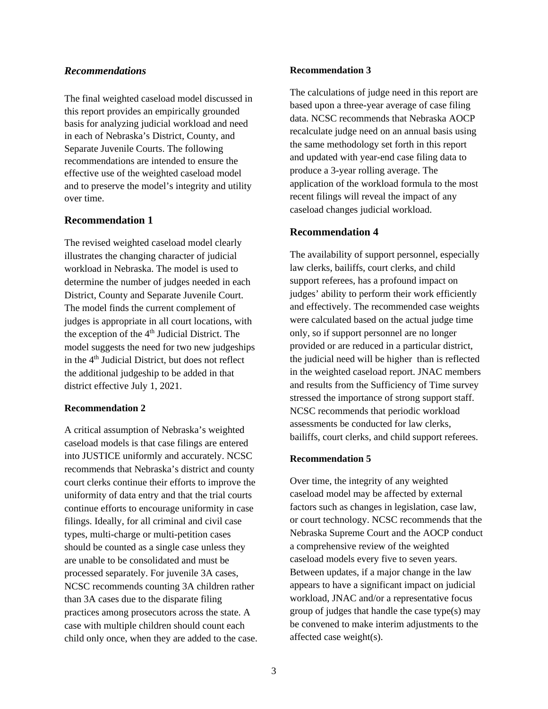# *Recommendations*

The final weighted caseload model discussed in this report provides an empirically grounded basis for analyzing judicial workload and need in each of Nebraska's District, County, and Separate Juvenile Courts. The following recommendations are intended to ensure the effective use of the weighted caseload model and to preserve the model's integrity and utility over time.

#### **Recommendation 1**

The revised weighted caseload model clearly illustrates the changing character of judicial workload in Nebraska. The model is used to determine the number of judges needed in each District, County and Separate Juvenile Court. The model finds the current complement of judges is appropriate in all court locations, with the exception of the  $4<sup>th</sup>$  Judicial District. The model suggests the need for two new judgeships in the  $4<sup>th</sup>$  Judicial District, but does not reflect the additional judgeship to be added in that district effective July 1, 2021.

#### **Recommendation 2**

A critical assumption of Nebraska's weighted caseload models is that case filings are entered into JUSTICE uniformly and accurately. NCSC recommends that Nebraska's district and county court clerks continue their efforts to improve the uniformity of data entry and that the trial courts continue efforts to encourage uniformity in case filings. Ideally, for all criminal and civil case types, multi-charge or multi-petition cases should be counted as a single case unless they are unable to be consolidated and must be processed separately. For juvenile 3A cases, NCSC recommends counting 3A children rather than 3A cases due to the disparate filing practices among prosecutors across the state. A case with multiple children should count each child only once, when they are added to the case.

#### **Recommendation 3**

The calculations of judge need in this report are based upon a three-year average of case filing data. NCSC recommends that Nebraska AOCP recalculate judge need on an annual basis using the same methodology set forth in this report and updated with year-end case filing data to produce a 3-year rolling average. The application of the workload formula to the most recent filings will reveal the impact of any caseload changes judicial workload.

### **Recommendation 4**

The availability of support personnel, especially law clerks, bailiffs, court clerks, and child support referees, has a profound impact on judges' ability to perform their work efficiently and effectively. The recommended case weights were calculated based on the actual judge time only, so if support personnel are no longer provided or are reduced in a particular district, the judicial need will be higher than is reflected in the weighted caseload report. JNAC members and results from the Sufficiency of Time survey stressed the importance of strong support staff. NCSC recommends that periodic workload assessments be conducted for law clerks, bailiffs, court clerks, and child support referees.

#### **Recommendation 5**

Over time, the integrity of any weighted caseload model may be affected by external factors such as changes in legislation, case law, or court technology. NCSC recommends that the Nebraska Supreme Court and the AOCP conduct a comprehensive review of the weighted caseload models every five to seven years. Between updates, if a major change in the law appears to have a significant impact on judicial workload, JNAC and/or a representative focus group of judges that handle the case type(s) may be convened to make interim adjustments to the affected case weight(s).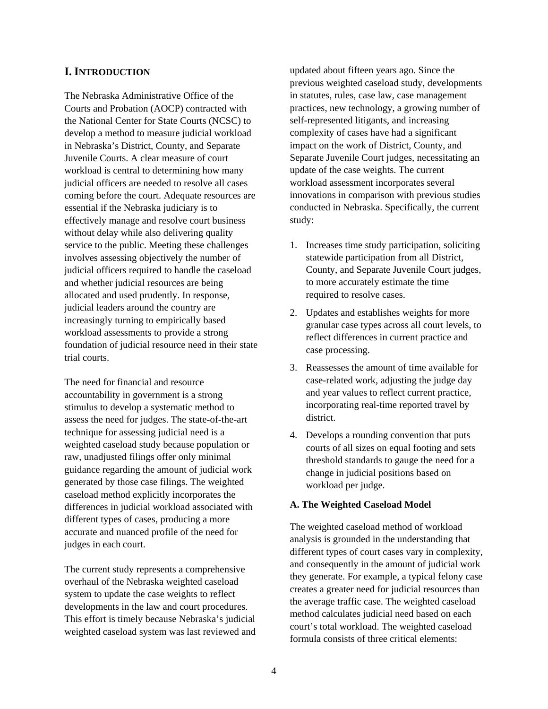# <span id="page-5-0"></span>**I. INTRODUCTION**

The Nebraska Administrative Office of the Courts and Probation (AOCP) contracted with the National Center for State Courts (NCSC) to develop a method to measure judicial workload in Nebraska's District, County, and Separate Juvenile Courts. A clear measure of court workload is central to determining how many judicial officers are needed to resolve all cases coming before the court. Adequate resources are essential if the Nebraska judiciary is to effectively manage and resolve court business without delay while also delivering quality service to the public. Meeting these challenges involves assessing objectively the number of judicial officers required to handle the caseload and whether judicial resources are being allocated and used prudently. In response, judicial leaders around the country are increasingly turning to empirically based workload assessments to provide a strong foundation of judicial resource need in their state trial courts.

The need for financial and resource accountability in government is a strong stimulus to develop a systematic method to assess the need for judges. The state-of-the-art technique for assessing judicial need is a weighted caseload study because population or raw, unadjusted filings offer only minimal guidance regarding the amount of judicial work generated by those case filings. The weighted caseload method explicitly incorporates the differences in judicial workload associated with different types of cases, producing a more accurate and nuanced profile of the need for judges in each court.

The current study represents a comprehensive overhaul of the Nebraska weighted caseload system to update the case weights to reflect developments in the law and court procedures. This effort is timely because Nebraska's judicial weighted caseload system was last reviewed and

updated about fifteen years ago. Since the previous weighted caseload study, developments in statutes, rules, case law, case management practices, new technology, a growing number of self-represented litigants, and increasing complexity of cases have had a significant impact on the work of District, County, and Separate Juvenile Court judges, necessitating an update of the case weights. The current workload assessment incorporates several innovations in comparison with previous studies conducted in Nebraska. Specifically, the current study:

- 1. Increases time study participation, soliciting statewide participation from all District, County, and Separate Juvenile Court judges, to more accurately estimate the time required to resolve cases.
- 2. Updates and establishes weights for more granular case types across all court levels, to reflect differences in current practice and case processing.
- 3. Reassesses the amount of time available for case-related work, adjusting the judge day and year values to reflect current practice, incorporating real-time reported travel by district.
- 4. Develops a rounding convention that puts courts of all sizes on equal footing and sets threshold standards to gauge the need for a change in judicial positions based on workload per judge.

# <span id="page-5-1"></span>**A. The Weighted Caseload Model**

The weighted caseload method of workload analysis is grounded in the understanding that different types of court cases vary in complexity, and consequently in the amount of judicial work they generate. For example, a typical felony case creates a greater need for judicial resources than the average traffic case. The weighted caseload method calculates judicial need based on each court's total workload. The weighted caseload formula consists of three critical elements: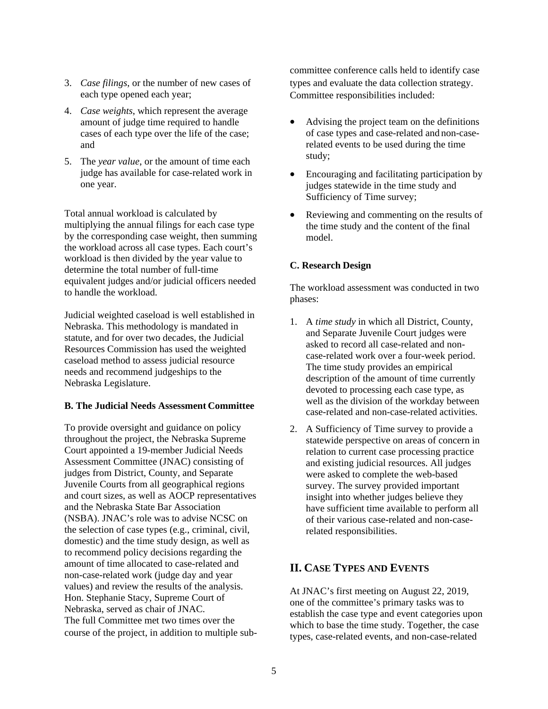- 3. *Case filings*, or the number of new cases of each type opened each year;
- 4. *Case weights*, which represent the average amount of judge time required to handle cases of each type over the life of the case; and
- 5. The *year value*, or the amount of time each judge has available for case-related work in one year.

Total annual workload is calculated by multiplying the annual filings for each case type by the corresponding case weight, then summing the workload across all case types. Each court's workload is then divided by the year value to determine the total number of full-time equivalent judges and/or judicial officers needed to handle the workload.

Judicial weighted caseload is well established in Nebraska. This methodology is mandated in statute, and for over two decades, the Judicial Resources Commission has used the weighted caseload method to assess judicial resource needs and recommend judgeships to the Nebraska Legislature.

# <span id="page-6-0"></span>**B. The Judicial Needs Assessment Committee**

To provide oversight and guidance on policy throughout the project, the Nebraska Supreme Court appointed a 19-member Judicial Needs Assessment Committee (JNAC) consisting of judges from District, County, and Separate Juvenile Courts from all geographical regions and court sizes, as well as AOCP representatives and the Nebraska State Bar Association (NSBA). JNAC's role was to advise NCSC on the selection of case types (e.g., criminal, civil, domestic) and the time study design, as well as to recommend policy decisions regarding the amount of time allocated to case-related and non-case-related work (judge day and year values) and review the results of the analysis. Hon. Stephanie Stacy, Supreme Court of Nebraska, served as chair of JNAC. The full Committee met two times over the course of the project, in addition to multiple sub-

committee conference calls held to identify case types and evaluate the data collection strategy. Committee responsibilities included:

- Advising the project team on the definitions of case types and case-related and non-caserelated events to be used during the time study;
- Encouraging and facilitating participation by judges statewide in the time study and Sufficiency of Time survey;
- Reviewing and commenting on the results of the time study and the content of the final model.

# <span id="page-6-1"></span>**C. Research Design**

The workload assessment was conducted in two phases:

- 1. A *time study* in which all District, County, and Separate Juvenile Court judges were asked to record all case-related and noncase-related work over a four-week period. The time study provides an empirical description of the amount of time currently devoted to processing each case type, as well as the division of the workday between case-related and non-case-related activities.
- 2. A Sufficiency of Time survey to provide a statewide perspective on areas of concern in relation to current case processing practice and existing judicial resources. All judges were asked to complete the web-based survey. The survey provided important insight into whether judges believe they have sufficient time available to perform all of their various case-related and non-caserelated responsibilities.

# <span id="page-6-2"></span>**II. CASE TYPES AND EVENTS**

At JNAC's first meeting on August 22, 2019, one of the committee's primary tasks was to establish the case type and event categories upon which to base the time study. Together, the case types, case-related events, and non-case-related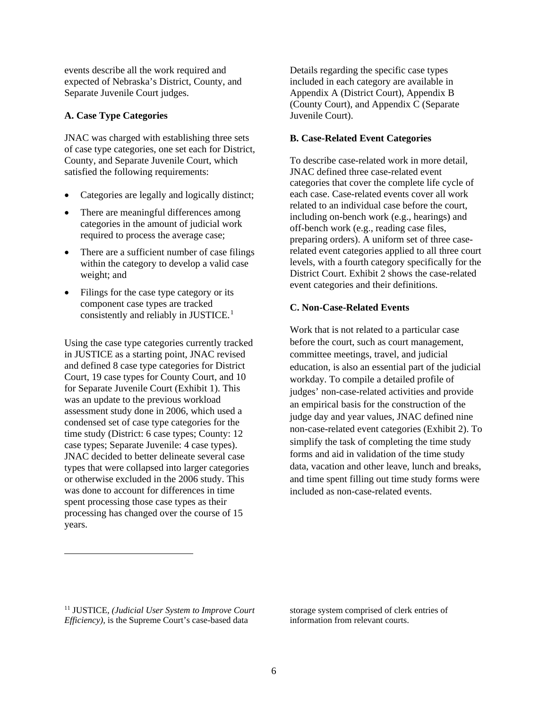events describe all the work required and expected of Nebraska's District, County, and Separate Juvenile Court judges.

### <span id="page-7-0"></span>**A. Case Type Categories**

JNAC was charged with establishing three sets of case type categories, one set each for District, County, and Separate Juvenile Court, which satisfied the following requirements:

- Categories are legally and logically distinct;
- There are meaningful differences among categories in the amount of judicial work required to process the average case;
- There are a sufficient number of case filings within the category to develop a valid case weight; and
- Filings for the case type category or its component case types are tracked consistently and reliably in JUSTICE. [1](#page-7-3)

Using the case type categories currently tracked in JUSTICE as a starting point, JNAC revised and defined 8 case type categories for District Court, 19 case types for County Court, and 10 for Separate Juvenile Court (Exhibit 1). This was an update to the previous workload assessment study done in 2006, which used a condensed set of case type categories for the time study (District: 6 case types; County: 12 case types; Separate Juvenile: 4 case types). JNAC decided to better delineate several case types that were collapsed into larger categories or otherwise excluded in the 2006 study. This was done to account for differences in time spent processing those case types as their processing has changed over the course of 15 years.

Details regarding the specific case types included in each category are available in Appendix A (District Court), Appendix B (County Court), and Appendix C (Separate Juvenile Court).

# <span id="page-7-1"></span>**B. Case-Related Event Categories**

To describe case-related work in more detail, JNAC defined three case-related event categories that cover the complete life cycle of each case. Case-related events cover all work related to an individual case before the court, including on-bench work (e.g., hearings) and off-bench work (e.g., reading case files, preparing orders). A uniform set of three caserelated event categories applied to all three court levels, with a fourth category specifically for the District Court. Exhibit 2 shows the case-related event categories and their definitions.

#### <span id="page-7-2"></span>**C. Non-Case-Related Events**

Work that is not related to a particular case before the court, such as court management, committee meetings, travel, and judicial education, is also an essential part of the judicial workday. To compile a detailed profile of judges' non-case-related activities and provide an empirical basis for the construction of the judge day and year values, JNAC defined nine non-case-related event categories (Exhibit 2). To simplify the task of completing the time study forms and aid in validation of the time study data, vacation and other leave, lunch and breaks, and time spent filling out time study forms were included as non-case-related events.

<span id="page-7-3"></span><sup>11</sup> JUSTICE*, (Judicial User System to Improve Court Efficiency),* is the Supreme Court's case-based data

storage system comprised of clerk entries of information from relevant courts.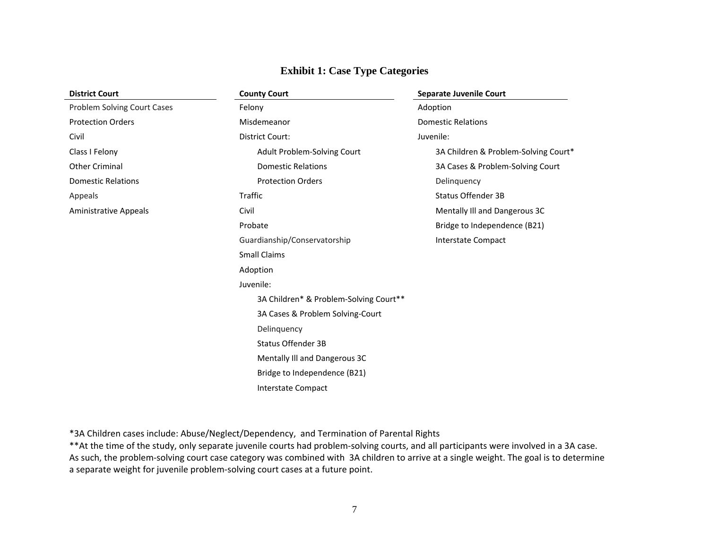# **Exhibit 1: Case Type Categories**

| <b>District Court</b>              | <b>County Court</b>                    | <b>Separate Juvenile Court</b>       |
|------------------------------------|----------------------------------------|--------------------------------------|
| <b>Problem Solving Court Cases</b> | Felony                                 | Adoption                             |
| <b>Protection Orders</b>           | Misdemeanor                            | <b>Domestic Relations</b>            |
| Civil                              | District Court:                        | Juvenile:                            |
| Class I Felony                     | Adult Problem-Solving Court            | 3A Children & Problem-Solving Court* |
| <b>Other Criminal</b>              | <b>Domestic Relations</b>              | 3A Cases & Problem-Solving Court     |
| <b>Domestic Relations</b>          | <b>Protection Orders</b>               | Delinquency                          |
| Appeals                            | <b>Traffic</b>                         | <b>Status Offender 3B</b>            |
| <b>Aministrative Appeals</b>       | Civil                                  | Mentally III and Dangerous 3C        |
|                                    | Probate                                | Bridge to Independence (B21)         |
|                                    | Guardianship/Conservatorship           | Interstate Compact                   |
|                                    | <b>Small Claims</b>                    |                                      |
|                                    | Adoption                               |                                      |
|                                    | Juvenile:                              |                                      |
|                                    | 3A Children* & Problem-Solving Court** |                                      |
|                                    | 3A Cases & Problem Solving-Court       |                                      |
|                                    | Delinquency                            |                                      |
|                                    | <b>Status Offender 3B</b>              |                                      |
|                                    | Mentally III and Dangerous 3C          |                                      |
|                                    | Bridge to Independence (B21)           |                                      |
|                                    | Interstate Compact                     |                                      |

\*3A Children cases include: Abuse/Neglect/Dependency, and Termination of Parental Rights

\*\*At the time of the study, only separate juvenile courts had problem-solving courts, and all participants were involved in a 3A case. As such, the problem-solving court case category was combined with 3A children to arrive at a single weight. The goal is to determine a separate weight for juvenile problem-solving court cases at a future point.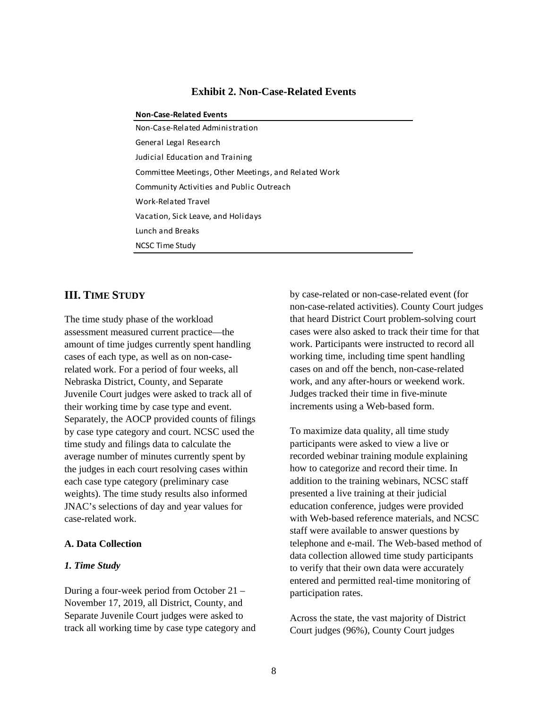#### **Exhibit 2. Non-Case-Related Events**

#### **Non-Case-Related Events**

| Non-Case-Related Administration                      |
|------------------------------------------------------|
| General Legal Research                               |
| Judicial Education and Training                      |
| Committee Meetings, Other Meetings, and Related Work |
| Community Activities and Public Outreach             |
| Work-Related Travel                                  |
| Vacation, Sick Leave, and Holidays                   |
| Lunch and Breaks                                     |
| NCSC Time Study                                      |

# <span id="page-9-0"></span>**III. TIME STUDY**

The time study phase of the workload assessment measured current practice—the amount of time judges currently spent handling cases of each type, as well as on non-caserelated work. For a period of four weeks, all Nebraska District, County, and Separate Juvenile Court judges were asked to track all of their working time by case type and event. Separately, the AOCP provided counts of filings by case type category and court. NCSC used the time study and filings data to calculate the average number of minutes currently spent by the judges in each court resolving cases within each case type category (preliminary case weights). The time study results also informed JNAC's selections of day and year values for case-related work.

#### <span id="page-9-1"></span>**A. Data Collection**

#### *1. Time Study*

During a four-week period from October 21 – November 17, 2019, all District, County, and Separate Juvenile Court judges were asked to track all working time by case type category and by case-related or non-case-related event (for non-case-related activities). County Court judges that heard District Court problem-solving court cases were also asked to track their time for that work. Participants were instructed to record all working time, including time spent handling cases on and off the bench, non-case-related work, and any after-hours or weekend work. Judges tracked their time in five-minute increments using a Web-based form.

To maximize data quality, all time study participants were asked to view a live or recorded webinar training module explaining how to categorize and record their time. In addition to the training webinars, NCSC staff presented a live training at their judicial education conference, judges were provided with Web-based reference materials, and NCSC staff were available to answer questions by telephone and e-mail. The Web-based method of data collection allowed time study participants to verify that their own data were accurately entered and permitted real-time monitoring of participation rates.

Across the state, the vast majority of District Court judges (96%), County Court judges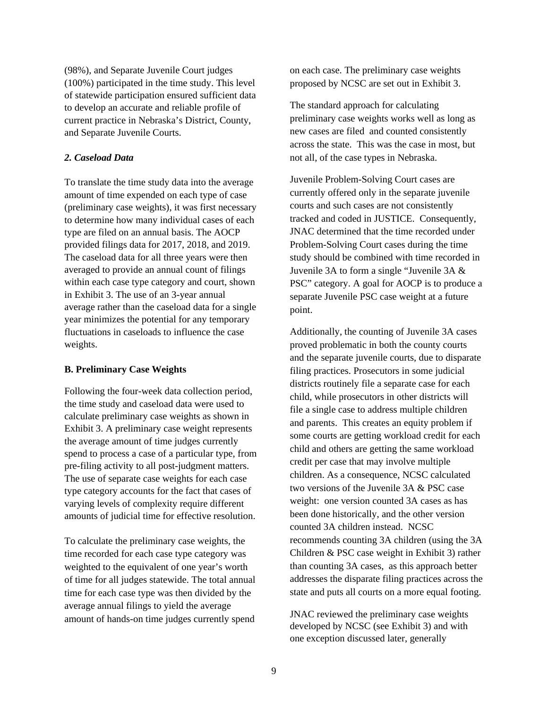(98%), and Separate Juvenile Court judges (100%) participated in the time study. This level of statewide participation ensured sufficient data to develop an accurate and reliable profile of current practice in Nebraska's District, County, and Separate Juvenile Courts.

# *2. Caseload Data*

To translate the time study data into the average amount of time expended on each type of case (preliminary case weights), it was first necessary to determine how many individual cases of each type are filed on an annual basis. The AOCP provided filings data for 2017, 2018, and 2019. The caseload data for all three years were then averaged to provide an annual count of filings within each case type category and court, shown in Exhibit 3. The use of an 3-year annual average rather than the caseload data for a single year minimizes the potential for any temporary fluctuations in caseloads to influence the case weights.

#### <span id="page-10-0"></span>**B. Preliminary Case Weights**

Following the four-week data collection period, the time study and caseload data were used to calculate preliminary case weights as shown in Exhibit 3. A preliminary case weight represents the average amount of time judges currently spend to process a case of a particular type, from pre-filing activity to all post-judgment matters. The use of separate case weights for each case type category accounts for the fact that cases of varying levels of complexity require different amounts of judicial time for effective resolution.

To calculate the preliminary case weights, the time recorded for each case type category was weighted to the equivalent of one year's worth of time for all judges statewide. The total annual time for each case type was then divided by the average annual filings to yield the average amount of hands-on time judges currently spend

on each case. The preliminary case weights proposed by NCSC are set out in Exhibit 3.

The standard approach for calculating preliminary case weights works well as long as new cases are filed and counted consistently across the state. This was the case in most, but not all, of the case types in Nebraska.

Juvenile Problem-Solving Court cases are currently offered only in the separate juvenile courts and such cases are not consistently tracked and coded in JUSTICE. Consequently, JNAC determined that the time recorded under Problem-Solving Court cases during the time study should be combined with time recorded in Juvenile 3A to form a single "Juvenile 3A & PSC" category. A goal for AOCP is to produce a separate Juvenile PSC case weight at a future point.

Additionally, the counting of Juvenile 3A cases proved problematic in both the county courts and the separate juvenile courts, due to disparate filing practices. Prosecutors in some judicial districts routinely file a separate case for each child, while prosecutors in other districts will file a single case to address multiple children and parents. This creates an equity problem if some courts are getting workload credit for each child and others are getting the same workload credit per case that may involve multiple children. As a consequence, NCSC calculated two versions of the Juvenile 3A & PSC case weight: one version counted 3A cases as has been done historically, and the other version counted 3A children instead. NCSC recommends counting 3A children (using the 3A Children & PSC case weight in Exhibit 3) rather than counting 3A cases, as this approach better addresses the disparate filing practices across the state and puts all courts on a more equal footing.

JNAC reviewed the preliminary case weights developed by NCSC (see Exhibit 3) and with one exception discussed later, generally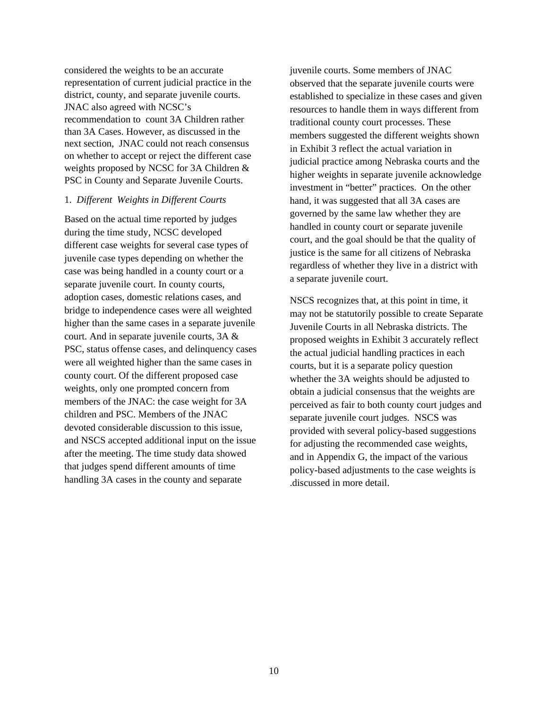considered the weights to be an accurate representation of current judicial practice in the district, county, and separate juvenile courts. JNAC also agreed with NCSC's recommendation to count 3A Children rather than 3A Cases. However, as discussed in the next section, JNAC could not reach consensus on whether to accept or reject the different case weights proposed by NCSC for 3A Children & PSC in County and Separate Juvenile Courts.

#### 1. *Different Weights in Different Courts*

Based on the actual time reported by judges during the time study, NCSC developed different case weights for several case types of juvenile case types depending on whether the case was being handled in a county court or a separate juvenile court. In county courts, adoption cases, domestic relations cases, and bridge to independence cases were all weighted higher than the same cases in a separate juvenile court. And in separate juvenile courts, 3A & PSC, status offense cases, and delinquency cases were all weighted higher than the same cases in county court. Of the different proposed case weights, only one prompted concern from members of the JNAC: the case weight for 3A children and PSC. Members of the JNAC devoted considerable discussion to this issue, and NSCS accepted additional input on the issue after the meeting. The time study data showed that judges spend different amounts of time handling 3A cases in the county and separate

juvenile courts. Some members of JNAC observed that the separate juvenile courts were established to specialize in these cases and given resources to handle them in ways different from traditional county court processes. These members suggested the different weights shown in Exhibit 3 reflect the actual variation in judicial practice among Nebraska courts and the higher weights in separate juvenile acknowledge investment in "better" practices. On the other hand, it was suggested that all 3A cases are governed by the same law whether they are handled in county court or separate juvenile court, and the goal should be that the quality of justice is the same for all citizens of Nebraska regardless of whether they live in a district with a separate juvenile court.

NSCS recognizes that, at this point in time, it may not be statutorily possible to create Separate Juvenile Courts in all Nebraska districts. The proposed weights in Exhibit 3 accurately reflect the actual judicial handling practices in each courts, but it is a separate policy question whether the 3A weights should be adjusted to obtain a judicial consensus that the weights are perceived as fair to both county court judges and separate juvenile court judges. NSCS was provided with several policy-based suggestions for adjusting the recommended case weights, and in Appendix G, the impact of the various policy-based adjustments to the case weights is .discussed in more detail.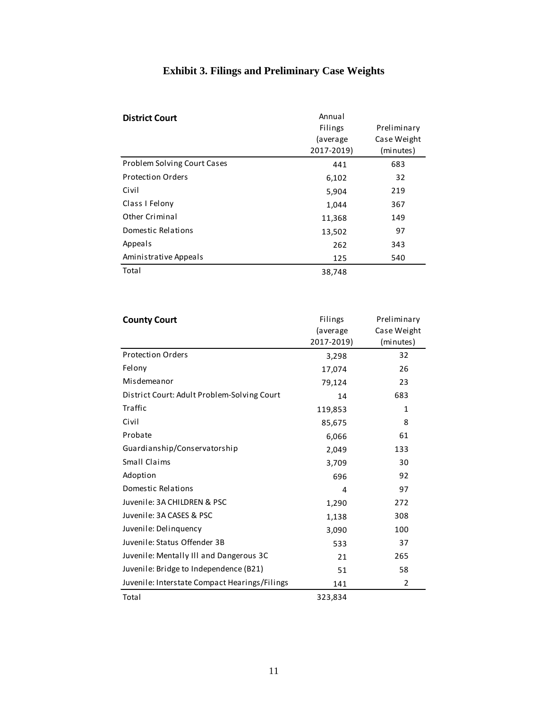# **Exhibit 3. Filings and Preliminary Case Weights**

| <b>District Court</b>       | Annual     |             |
|-----------------------------|------------|-------------|
|                             | Filings    | Preliminary |
|                             | (average   | Case Weight |
|                             | 2017-2019) | (minutes)   |
| Problem Solving Court Cases | 441        | 683         |
| <b>Protection Orders</b>    | 6,102      | 32          |
| Civil                       | 5,904      | 219         |
| Class I Felony              | 1,044      | 367         |
| Other Criminal              | 11,368     | 149         |
| Domestic Relations          | 13,502     | 97          |
| Appeals                     | 262        | 343         |
| Aministrative Appeals       | 125        | 540         |
| Total                       | 38,748     |             |

| <b>County Court</b>                           | Filings    | Preliminary  |
|-----------------------------------------------|------------|--------------|
|                                               | (average   | Case Weight  |
|                                               | 2017-2019) | (minutes)    |
| <b>Protection Orders</b>                      | 3,298      | 32           |
| Felony                                        | 17,074     | 26           |
| Misdemeanor                                   | 79,124     | 23           |
| District Court: Adult Problem-Solving Court   | 14         | 683          |
| Traffic                                       | 119,853    | $\mathbf{1}$ |
| Civil                                         | 85,675     | 8            |
| Probate                                       | 6,066      | 61           |
| Guardianship/Conservatorship                  | 2,049      | 133          |
| Small Claims                                  | 3,709      | 30           |
| Adoption                                      | 696        | 92           |
| Domestic Relations                            | 4          | 97           |
| Juvenile: 3A CHILDREN & PSC                   | 1,290      | 272          |
| Juvenile: 3A CASES & PSC                      | 1,138      | 308          |
| Juvenile: Delinquency                         | 3,090      | 100          |
| Juvenile: Status Offender 3B                  | 533        | 37           |
| Juvenile: Mentally Ill and Dangerous 3C       | 21         | 265          |
| Juvenile: Bridge to Independence (B21)        | 51         | 58           |
| Juvenile: Interstate Compact Hearings/Filings | 141        | 2            |
| Total                                         | 323,834    |              |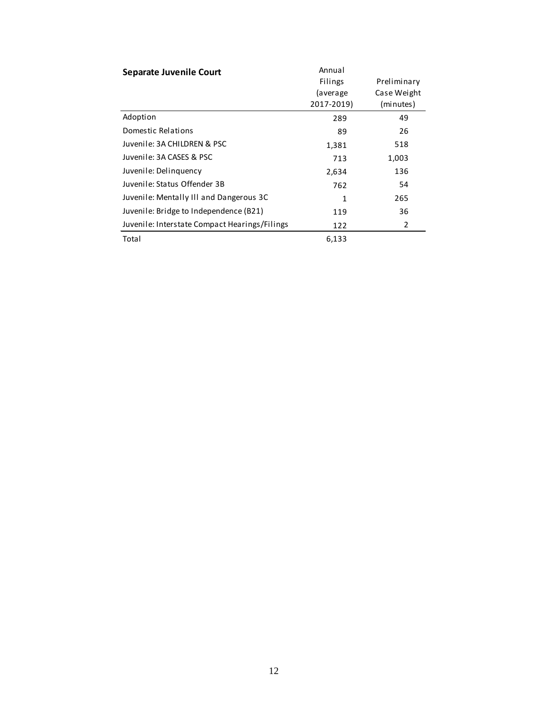| <b>Separate Juvenile Court</b>                | Annual     |             |
|-----------------------------------------------|------------|-------------|
|                                               | Filings    | Preliminary |
|                                               | (average   | Case Weight |
|                                               | 2017-2019) | (minutes)   |
| Adoption                                      | 289        | 49          |
| Domestic Relations                            | 89         | 26          |
| Juvenile: 3A CHILDREN & PSC                   | 1,381      | 518         |
| Juvenile: 3A CASES & PSC                      | 713        | 1,003       |
| Juvenile: Delinguency                         | 2,634      | 136         |
| Juvenile: Status Offender 3B                  | 762        | 54          |
| Juvenile: Mentally Ill and Dangerous 3C       | 1          | 265         |
| Juvenile: Bridge to Independence (B21)        | 119        | 36          |
| Juvenile: Interstate Compact Hearings/Filings | 122        | 2           |
| Total                                         | 6,133      |             |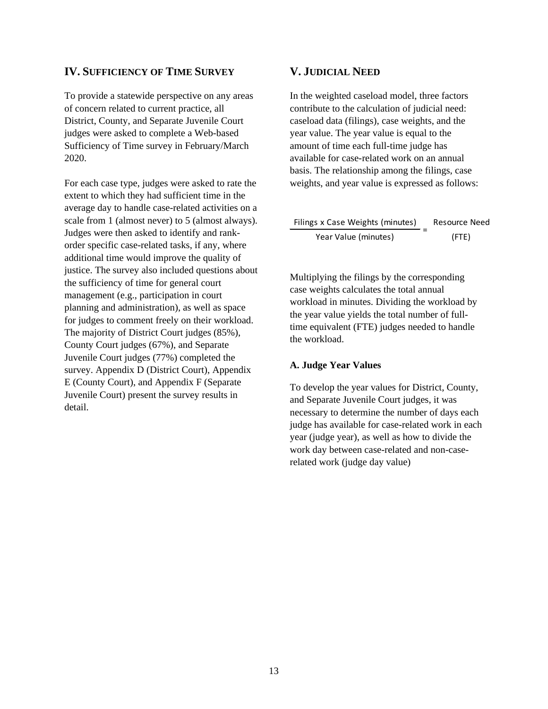# <span id="page-14-0"></span>**IV. SUFFICIENCY OF TIME SURVEY**

To provide a statewide perspective on any areas of concern related to current practice, all District, County, and Separate Juvenile Court judges were asked to complete a Web-based Sufficiency of Time survey in February/March 2020.

For each case type, judges were asked to rate the extent to which they had sufficient time in the average day to handle case-related activities on a scale from 1 (almost never) to 5 (almost always). Judges were then asked to identify and rankorder specific case-related tasks, if any, where additional time would improve the quality of justice. The survey also included questions about the sufficiency of time for general court management (e.g., participation in court planning and administration), as well as space for judges to comment freely on their workload. The majority of District Court judges (85%), County Court judges (67%), and Separate Juvenile Court judges (77%) completed the survey. Appendix D (District Court), Appendix E (County Court), and Appendix F (Separate Juvenile Court) present the survey results in detail.

# <span id="page-14-1"></span>**V. JUDICIAL NEED**

In the weighted caseload model, three factors contribute to the calculation of judicial need: caseload data (filings), case weights, and the year value. The year value is equal to the amount of time each full-time judge has available for case-related work on an annual basis. The relationship among the filings, case weights, and year value is expressed as follows:

| Filings x Case Weights (minutes) | <b>Resource Need</b> |
|----------------------------------|----------------------|
| Year Value (minutes)             | (FTE)                |

Multiplying the filings by the corresponding case weights calculates the total annual workload in minutes. Dividing the workload by the year value yields the total number of fulltime equivalent (FTE) judges needed to handle the workload.

# <span id="page-14-2"></span>**A. Judge Year Values**

To develop the year values for District, County, and Separate Juvenile Court judges, it was necessary to determine the number of days each judge has available for case-related work in each year (judge year), as well as how to divide the work day between case-related and non-caserelated work (judge day value)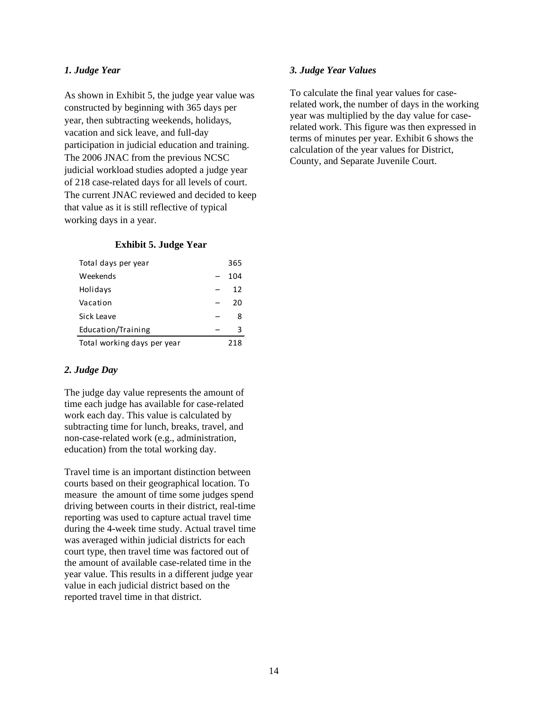#### *1. Judge Year*

As shown in Exhibit 5, the judge year value was constructed by beginning with 365 days per year, then subtracting weekends, holidays, vacation and sick leave, and full-day participation in judicial education and training. The 2006 JNAC from the previous NCSC judicial workload studies adopted a judge year of 218 case-related days for all levels of court. The current JNAC reviewed and decided to keep that value as it is still reflective of typical working days in a year.

#### **Exhibit 5. Judge Year**

| Total days per year         | 365 |
|-----------------------------|-----|
| Weekends                    | 104 |
| Holidays                    | 12  |
| Vacation                    | 20  |
| Sick Leave                  | 8   |
| Education/Training          | ٩   |
| Total working days per year | 218 |

# *2. Judge Day*

The judge day value represents the amount of time each judge has available for case-related work each day. This value is calculated by subtracting time for lunch, breaks, travel, and non-case-related work (e.g., administration, education) from the total working day.

Travel time is an important distinction between courts based on their geographical location. To measure the amount of time some judges spend driving between courts in their district, real-time reporting was used to capture actual travel time during the 4-week time study. Actual travel time was averaged within judicial districts for each court type, then travel time was factored out of the amount of available case-related time in the year value. This results in a different judge year value in each judicial district based on the reported travel time in that district.

#### *3. Judge Year Values*

To calculate the final year values for caserelated work, the number of days in the working year was multiplied by the day value for caserelated work. This figure was then expressed in terms of minutes per year. Exhibit 6 shows the calculation of the year values for District, County, and Separate Juvenile Court.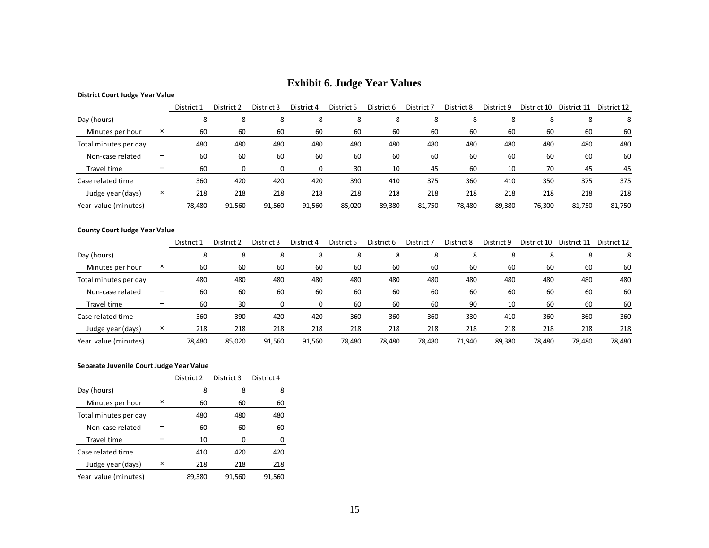# **Exhibit 6. Judge Year Values**

#### **District Court Judge Year Value**

|                       |                 | District 1 | District 2 | District 3 | District 4 | District 5 | District 6 | District 7 | District 8 | District 9 | District 10 | District 11 | District 12 |
|-----------------------|-----------------|------------|------------|------------|------------|------------|------------|------------|------------|------------|-------------|-------------|-------------|
| Day (hours)           |                 | 8          | 8          | 8          | 8          | 8          | 8          | 8          | 8          | 8          | 8           | 8           | 8           |
| Minutes per hour      | $\times$        | 60         | 60         | 60         | 60         | 60         | 60         | 60         | 60         | 60         | 60          | 60          | 60          |
| Total minutes per day |                 | 480        | 480        | 480        | 480        | 480        | 480        | 480        | 480        | 480        | 480         | 480         | 480         |
| Non-case related      | $\qquad \qquad$ | 60         | 60         | 60         | 60         | 60         | 60         | 60         | 60         | 60         | 60          | 60          | 60          |
| Travel time           | -               | 60         | 0          |            | 0          | 30         | 10         | 45         | 60         | 10         | 70          | 45          | 45          |
| Case related time     |                 | 360        | 420        | 420        | 420        | 390        | 410        | 375        | 360        | 410        | 350         | 375         | 375         |
| Judge year (days)     | ×               | 218        | 218        | 218        | 218        | 218        | 218        | 218        | 218        | 218        | 218         | 218         | 218         |
| Year value (minutes)  |                 | 78.480     | 91,560     | 91,560     | 91.560     | 85.020     | 89.380     | 81,750     | 78.480     | 89,380     | 76.300      | 81.750      | 81,750      |

#### **County Court Judge Year Value**

|                       |          | District 1 | District 2 | District 3 | District 4 | District 5 | District 6 | District 7 | District 8 | District 9 | District 10 | District 11 | District 12 |
|-----------------------|----------|------------|------------|------------|------------|------------|------------|------------|------------|------------|-------------|-------------|-------------|
| Day (hours)           |          | 8          | 8          | 8          | 8          | 8          | 8          | 8          | 8          | 8          | 8           | 8           | 8           |
| Minutes per hour      | $\times$ | 60         | 60         | 60         | 60         | 60         | 60         | 60         | 60         | 60         | 60          | 60          | 60          |
| Total minutes per day |          | 480        | 480        | 480        | 480        | 480        | 480        | 480        | 480        | 480        | 480         | 480         | 480         |
| Non-case related      | -        | 60         | 60         | 60         | 60         | 60         | 60         | 60         | 60         | 60         | 60          | 60          | 60          |
| Travel time           | -        | 60         | 30         |            | 0          | 60         | 60         | 60         | 90         | 10         | 60          | 60          | 60          |
| Case related time     |          | 360        | 390        | 420        | 420        | 360        | 360        | 360        | 330        | 410        | 360         | 360         | 360         |
| Judge year (days)     | $\times$ | 218        | 218        | 218        | 218        | 218        | 218        | 218        | 218        | 218        | 218         | 218         | 218         |
| Year value (minutes)  |          | 78.480     | 85,020     | 91,560     | 91,560     | 78.480     | 78.480     | 78.480     | 71.940     | 89,380     | 78.480      | 78.480      | 78,480      |

#### **Separate Juvenile Court Judge Year Value**

|                       |   | District 2 | District 3 | District 4 |
|-----------------------|---|------------|------------|------------|
| Day (hours)           |   | 8          | 8          | 8          |
| Minutes per hour      | × | 60         | 60         | 60         |
| Total minutes per day |   | 480        | 480        | 480        |
| Non-case related      |   | 60         | 60         | 60         |
| Travel time           |   | 10         | 0          | 0          |
| Case related time     |   | 410        | 420        | 420        |
| Judge year (days)     | × | 218        | 218        | 218        |
| Year value (minutes)  |   | 89,380     | 91,560     | 91,560     |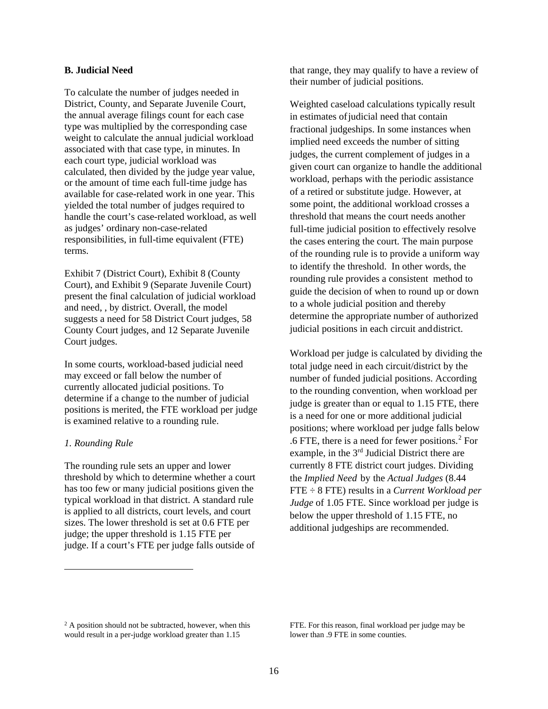#### <span id="page-17-0"></span>**B. Judicial Need**

To calculate the number of judges needed in District, County, and Separate Juvenile Court, the annual average filings count for each case type was multiplied by the corresponding case weight to calculate the annual judicial workload associated with that case type, in minutes. In each court type, judicial workload was calculated, then divided by the judge year value, or the amount of time each full-time judge has available for case-related work in one year. This yielded the total number of judges required to handle the court's case-related workload, as well as judges' ordinary non-case-related responsibilities, in full-time equivalent (FTE) terms.

Exhibit 7 (District Court), Exhibit 8 (County Court), and Exhibit 9 (Separate Juvenile Court) present the final calculation of judicial workload and need, , by district. Overall, the model suggests a need for 58 District Court judges, 58 County Court judges, and 12 Separate Juvenile Court judges.

In some courts, workload-based judicial need may exceed or fall below the number of currently allocated judicial positions. To determine if a change to the number of judicial positions is merited, the FTE workload per judge is examined relative to a rounding rule.

#### *1. Rounding Rule*

The rounding rule sets an upper and lower threshold by which to determine whether a court has too few or many judicial positions given the typical workload in that district. A standard rule is applied to all districts, court levels, and court sizes. The lower threshold is set at 0.6 FTE per judge; the upper threshold is 1.15 FTE per judge. If a court's FTE per judge falls outside of

that range, they may qualify to have a review of their number of judicial positions.

Weighted caseload calculations typically result in estimates ofjudicial need that contain fractional judgeships. In some instances when implied need exceeds the number of sitting judges, the current complement of judges in a given court can organize to handle the additional workload, perhaps with the periodic assistance of a retired or substitute judge. However, at some point, the additional workload crosses a threshold that means the court needs another full-time judicial position to effectively resolve the cases entering the court. The main purpose of the rounding rule is to provide a uniform way to identify the threshold. In other words, the rounding rule provides a consistent method to guide the decision of when to round up or down to a whole judicial position and thereby determine the appropriate number of authorized judicial positions in each circuit anddistrict.

Workload per judge is calculated by dividing the total judge need in each circuit/district by the number of funded judicial positions. According to the rounding convention, when workload per judge is greater than or equal to 1.15 FTE, there is a need for one or more additional judicial positions; where workload per judge falls below .6 FTE, there is a need for fewer positions.<sup>[2](#page-17-1)</sup> For example, in the 3<sup>rd</sup> Judicial District there are currently 8 FTE district court judges. Dividing the *Implied Need* by the *Actual Judges* (8.44 FTE ÷ 8 FTE) results in a *Current Workload per Judge* of 1.05 FTE. Since workload per judge is below the upper threshold of 1.15 FTE, no additional judgeships are recommended.

<span id="page-17-1"></span><sup>&</sup>lt;sup>2</sup> A position should not be subtracted, however, when this would result in a per-judge workload greater than 1.15

FTE. For this reason, final workload per judge may be lower than .9 FTE in some counties.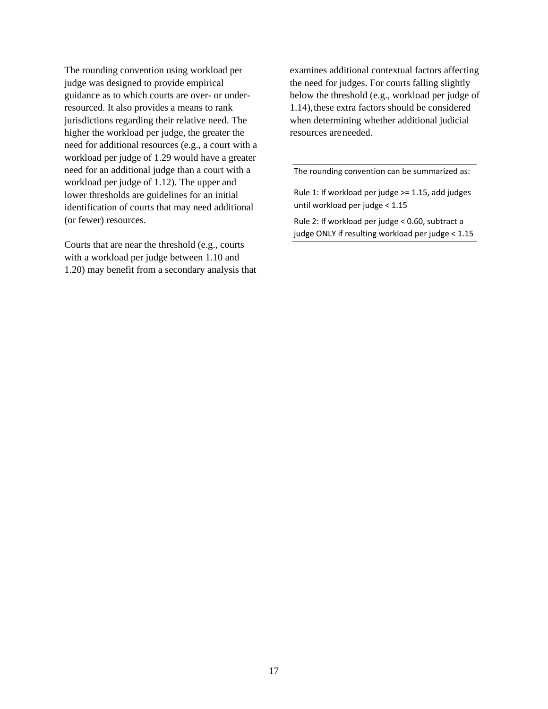The rounding convention using workload per judge was designed to provide empirical guidance as to which courts are over- or underresourced. It also provides a means to rank jurisdictions regarding their relative need. The higher the workload per judge, the greater the need for additional resources (e.g., a court with a workload per judge of 1.29 would have a greater need for an additional judge than a court with a workload per judge of 1.12). The upper and lower thresholds are guidelines for an initial identification of courts that may need additional (or fewer) resources.

Courts that are near the threshold (e.g., courts with a workload per judge between 1.10 and 1.20) may benefit from a secondary analysis that examines additional contextual factors affecting the need for judges. For courts falling slightly below the threshold (e.g., workload per judge of 1.14),these extra factors should be considered when determining whether additional judicial resources areneeded.

The rounding convention can be summarized as:

Rule 1: If workload per judge >= 1.15, add judges until workload per judge < 1.15

Rule 2: If workload per judge < 0.60, subtract a judge ONLY if resulting workload per judge < 1.15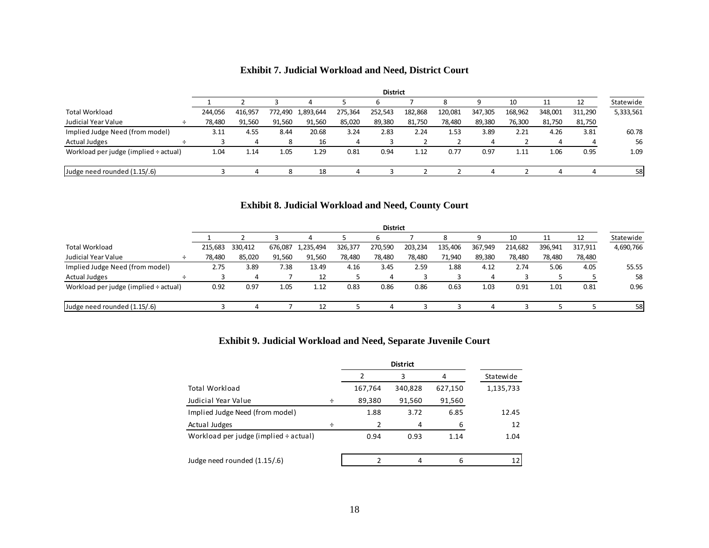# **Exhibit 7. Judicial Workload and Need, District Court**

|                                       |   | <b>District</b> |         |         |           |         |         |         |         |         |         |         |         |           |
|---------------------------------------|---|-----------------|---------|---------|-----------|---------|---------|---------|---------|---------|---------|---------|---------|-----------|
|                                       |   |                 |         |         |           |         |         |         |         |         | 10      | 11      | 12      | Statewide |
| <b>Total Workload</b>                 |   | 244,056         | 416.957 | 772,490 | 1,893,644 | 275,364 | 252.543 | 182,868 | 120,081 | 347,305 | 168.962 | 348,001 | 311,290 | 5,333,561 |
| Judicial Year Value                   | ÷ | 78,480          | 91.560  | 91,560  | 91,560    | 85,020  | 89,380  | 81,750  | 78,480  | 89,380  | 76,300  | 81,750  | 81,750  |           |
| Implied Judge Need (from model)       |   | 3.11            | 4.55    | 8.44    | 20.68     | 3.24    | 2.83    | 2.24    | 1.53    | 3.89    | 2.21    | 4.26    | 3.81    | 60.78     |
| <b>Actual Judges</b>                  |   |                 | 4       | 8       | 16        | 4       |         |         |         |         |         |         |         | 56        |
| Workload per judge (implied ÷ actual) |   | 1.04            | 1.14    | 1.05    | 1.29      | 0.81    | 0.94    | 1.12    | 0.77    | 0.97    | 1.11    | 1.06    | 0.95    | 1.09      |
| Judge need rounded (1.15/.6)          |   |                 | 4       |         | 18        | 4       |         |         |         |         |         | 4       | 4       | 58        |

# **Exhibit 8. Judicial Workload and Need, County Court**

|                                       |   | <b>District</b> |         |         |           |         |         |         |         |         |         |         |         |           |
|---------------------------------------|---|-----------------|---------|---------|-----------|---------|---------|---------|---------|---------|---------|---------|---------|-----------|
|                                       |   |                 |         |         |           |         | ь       |         |         |         | 10      | 11      | 12      | Statewide |
| <b>Total Workload</b>                 |   | 215.683         | 330,412 | 676,087 | .,235,494 | 326,377 | 270,590 | 203,234 | 135.406 | 367,949 | 214,682 | 396,941 | 317,911 | 4,690,766 |
| Judicial Year Value                   | ÷ | 78,480          | 85,020  | 91,560  | 91,560    | 78,480  | 78,480  | 78,480  | 71,940  | 89,380  | 78,480  | 78,480  | 78,480  |           |
| Implied Judge Need (from model)       |   | 2.75            | 3.89    | 7.38    | 13.49     | 4.16    | 3.45    | 2.59    | 1.88    | 4.12    | 2.74    | 5.06    | 4.05    | 55.55     |
| <b>Actual Judges</b>                  | ÷ |                 | 4       |         | 12        |         | 4       |         |         |         |         |         |         | 58        |
| Workload per judge (implied ÷ actual) |   | 0.92            | 0.97    | 1.05    | 1.12      | 0.83    | 0.86    | 0.86    | 0.63    | 1.03    | 0.91    | 1.01    | 0.81    | 0.96      |
| Judge need rounded (1.15/.6)          |   |                 | 4       |         | 12        |         |         |         |         |         |         |         |         | 58        |

# **Exhibit 9. Judicial Workload and Need, Separate Juvenile Court**

|                                            |   |         | 3       | 4       | Statewide |
|--------------------------------------------|---|---------|---------|---------|-----------|
| <b>Total Workload</b>                      |   | 167,764 | 340,828 | 627,150 | 1,135,733 |
| Judicial Year Value                        | ÷ | 89,380  | 91,560  | 91,560  |           |
| Implied Judge Need (from model)            |   | 1.88    | 3.72    | 6.85    | 12.45     |
| Actual Judges                              | ÷ | 2       | 4       | 6       | 12        |
| Workload per judge (implied $\div$ actual) |   | 0.94    | 0.93    | 1.14    | 1.04      |
| Judge need rounded (1.15/.6)               |   |         | 4       | 6       | 12        |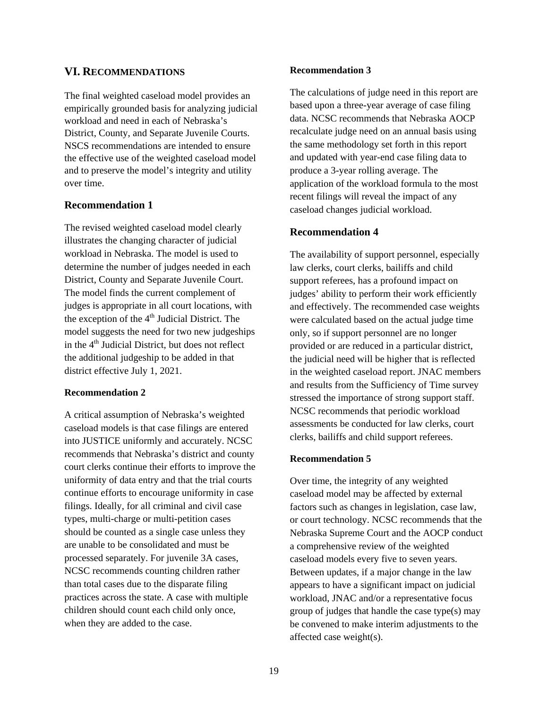# <span id="page-20-0"></span>**VI. RECOMMENDATIONS**

The final weighted caseload model provides an empirically grounded basis for analyzing judicial workload and need in each of Nebraska's District, County, and Separate Juvenile Courts. NSCS recommendations are intended to ensure the effective use of the weighted caseload model and to preserve the model's integrity and utility over time.

# **Recommendation 1**

The revised weighted caseload model clearly illustrates the changing character of judicial workload in Nebraska. The model is used to determine the number of judges needed in each District, County and Separate Juvenile Court. The model finds the current complement of judges is appropriate in all court locations, with the exception of the  $4<sup>th</sup>$  Judicial District. The model suggests the need for two new judgeships in the  $4<sup>th</sup>$  Judicial District, but does not reflect the additional judgeship to be added in that district effective July 1, 2021.

# **Recommendation 2**

A critical assumption of Nebraska's weighted caseload models is that case filings are entered into JUSTICE uniformly and accurately. NCSC recommends that Nebraska's district and county court clerks continue their efforts to improve the uniformity of data entry and that the trial courts continue efforts to encourage uniformity in case filings. Ideally, for all criminal and civil case types, multi-charge or multi-petition cases should be counted as a single case unless they are unable to be consolidated and must be processed separately. For juvenile 3A cases, NCSC recommends counting children rather than total cases due to the disparate filing practices across the state. A case with multiple children should count each child only once, when they are added to the case.

#### **Recommendation 3**

The calculations of judge need in this report are based upon a three-year average of case filing data. NCSC recommends that Nebraska AOCP recalculate judge need on an annual basis using the same methodology set forth in this report and updated with year-end case filing data to produce a 3-year rolling average. The application of the workload formula to the most recent filings will reveal the impact of any caseload changes judicial workload.

# **Recommendation 4**

The availability of support personnel, especially law clerks, court clerks, bailiffs and child support referees, has a profound impact on judges' ability to perform their work efficiently and effectively. The recommended case weights were calculated based on the actual judge time only, so if support personnel are no longer provided or are reduced in a particular district, the judicial need will be higher that is reflected in the weighted caseload report. JNAC members and results from the Sufficiency of Time survey stressed the importance of strong support staff. NCSC recommends that periodic workload assessments be conducted for law clerks, court clerks, bailiffs and child support referees.

# **Recommendation 5**

Over time, the integrity of any weighted caseload model may be affected by external factors such as changes in legislation, case law, or court technology. NCSC recommends that the Nebraska Supreme Court and the AOCP conduct a comprehensive review of the weighted caseload models every five to seven years. Between updates, if a major change in the law appears to have a significant impact on judicial workload, JNAC and/or a representative focus group of judges that handle the case type(s) may be convened to make interim adjustments to the affected case weight(s).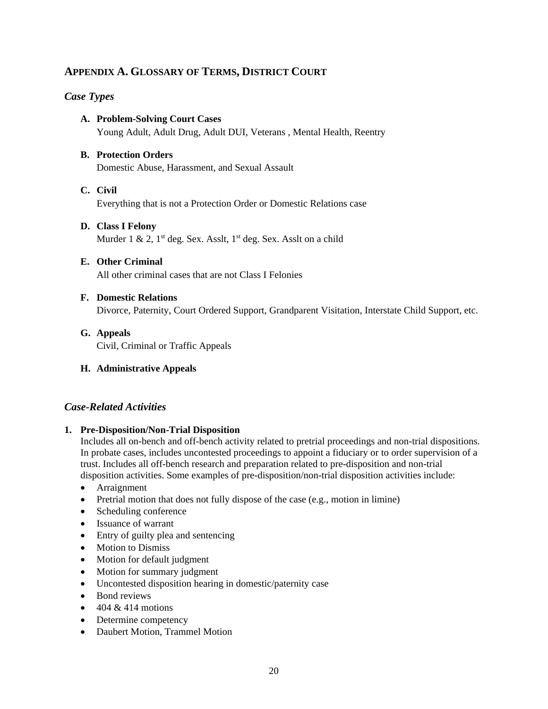# <span id="page-21-0"></span>**APPENDIX A. GLOSSARY OF TERMS, DISTRICT COURT**

# *Case Types*

- **A. Problem-Solving Court Cases** Young Adult, Adult Drug, Adult DUI, Veterans , Mental Health, Reentry
- **B. Protection Orders** Domestic Abuse, Harassment, and Sexual Assault
- **C. Civil** Everything that is not a Protection Order or Domestic Relations case
	- **D. Class I Felony** Murder 1 & 2,  $1^{st}$  deg. Sex. Asslt,  $1^{st}$  deg. Sex. Asslt on a child
	- **E. Other Criminal** All other criminal cases that are not Class I Felonies
	- **F. Domestic Relations** Divorce, Paternity, Court Ordered Support, Grandparent Visitation, Interstate Child Support, etc.
	- **G. Appeals** Civil, Criminal or Traffic Appeals
	- **H. Administrative Appeals**

# *Case-Related Activities*

# **1. Pre-Disposition/Non-Trial Disposition**

Includes all on-bench and off-bench activity related to pretrial proceedings and non-trial dispositions. In probate cases, includes uncontested proceedings to appoint a fiduciary or to order supervision of a trust. Includes all off-bench research and preparation related to pre-disposition and non-trial disposition activities. Some examples of pre-disposition/non-trial disposition activities include:

- Arraignment
- Pretrial motion that does not fully dispose of the case (e.g., motion in limine)
- Scheduling conference
- Issuance of warrant
- Entry of guilty plea and sentencing
- Motion to Dismiss
- Motion for default judgment
- Motion for summary judgment
- Uncontested disposition hearing in domestic/paternity case
- Bond reviews
- $\bullet$  404 & 414 motions
- Determine competency
- Daubert Motion, Trammel Motion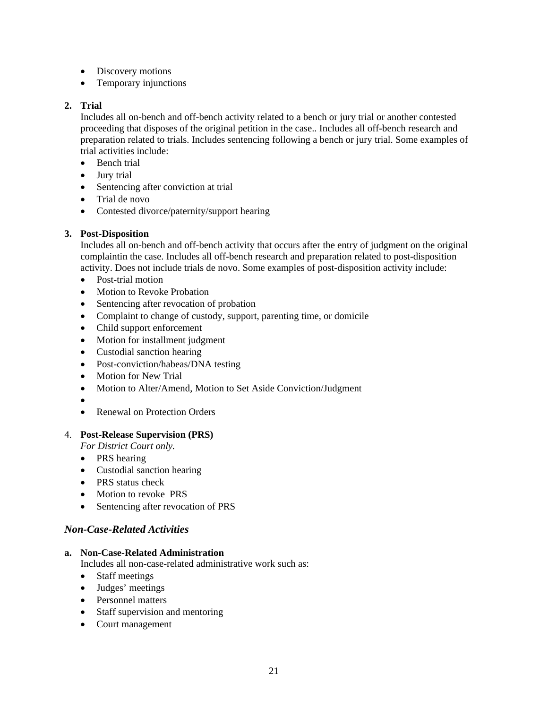- Discovery motions
- Temporary injunctions

# **2. Trial**

Includes all on-bench and off-bench activity related to a bench or jury trial or another contested proceeding that disposes of the original petition in the case.. Includes all off-bench research and preparation related to trials. Includes sentencing following a bench or jury trial. Some examples of trial activities include:

- Bench trial
- Jury trial
- Sentencing after conviction at trial
- Trial de novo
- Contested divorce/paternity/support hearing

# **3. Post-Disposition**

Includes all on-bench and off-bench activity that occurs after the entry of judgment on the original complaintin the case. Includes all off-bench research and preparation related to post-disposition activity. Does not include trials de novo. Some examples of post-disposition activity include:

- Post-trial motion
- Motion to Revoke Probation
- Sentencing after revocation of probation
- Complaint to change of custody, support, parenting time, or domicile
- Child support enforcement
- Motion for installment judgment
- Custodial sanction hearing
- Post-conviction/habeas/DNA testing
- Motion for New Trial
- Motion to Alter/Amend, Motion to Set Aside Conviction/Judgment
- •
- Renewal on Protection Orders

# 4. **Post-Release Supervision (PRS)**

*For District Court only.*

- PRS hearing
- Custodial sanction hearing
- PRS status check
- Motion to revoke PRS
- Sentencing after revocation of PRS

# *Non-Case-Related Activities*

# **a. Non-Case-Related Administration**

Includes all non-case-related administrative work such as:

- Staff meetings
- Judges' meetings
- Personnel matters
- Staff supervision and mentoring
- Court management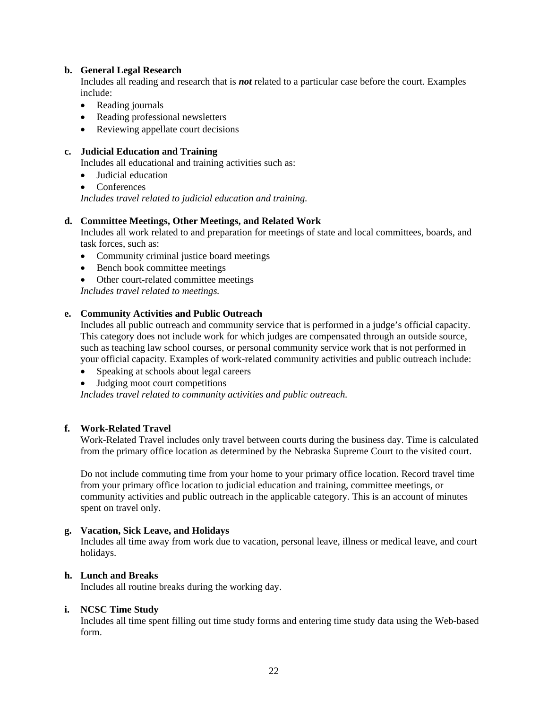# **b. General Legal Research**

Includes all reading and research that is *not* related to a particular case before the court. Examples include:

- Reading journals
- Reading professional newsletters
- Reviewing appellate court decisions

#### **c. Judicial Education and Training**

Includes all educational and training activities such as:

- Judicial education
- Conferences

*Includes travel related to judicial education and training.*

#### **d. Committee Meetings, Other Meetings, and Related Work**

Includes all work related to and preparation for meetings of state and local committees, boards, and task forces, such as:

- Community criminal justice board meetings
- Bench book committee meetings
- Other court-related committee meetings

*Includes travel related to meetings.*

#### **e. Community Activities and Public Outreach**

Includes all public outreach and community service that is performed in a judge's official capacity. This category does not include work for which judges are compensated through an outside source, such as teaching law school courses, or personal community service work that is not performed in your official capacity. Examples of work-related community activities and public outreach include:

- Speaking at schools about legal careers
- Judging moot court competitions

*Includes travel related to community activities and public outreach.*

#### **f. Work-Related Travel**

Work-Related Travel includes only travel between courts during the business day. Time is calculated from the primary office location as determined by the Nebraska Supreme Court to the visited court.

Do not include commuting time from your home to your primary office location. Record travel time from your primary office location to judicial education and training, committee meetings, or community activities and public outreach in the applicable category. This is an account of minutes spent on travel only.

#### **g. Vacation, Sick Leave, and Holidays**

Includes all time away from work due to vacation, personal leave, illness or medical leave, and court holidays.

### **h. Lunch and Breaks**

Includes all routine breaks during the working day.

#### **i. NCSC Time Study**

Includes all time spent filling out time study forms and entering time study data using the Web-based form.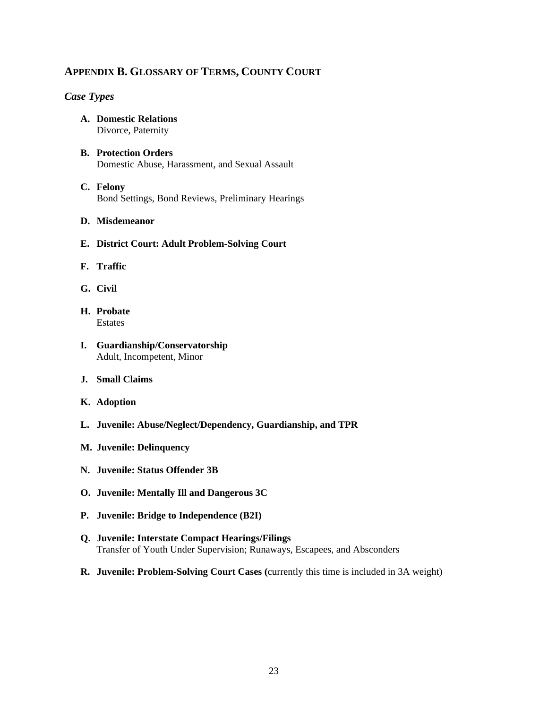# <span id="page-24-0"></span>**APPENDIX B. GLOSSARY OF TERMS, COUNTY COURT**

# *Case Types*

- **A. Domestic Relations** Divorce, Paternity
- **B. Protection Orders** Domestic Abuse, Harassment, and Sexual Assault
- **C. Felony** Bond Settings, Bond Reviews, Preliminary Hearings
- **D. Misdemeanor**
- **E. District Court: Adult Problem-Solving Court**
- **F. Traffic**
- **G. Civil**
- **H. Probate** Estates
- **I. Guardianship/Conservatorship** Adult, Incompetent, Minor
- **J. Small Claims**
- **K. Adoption**
- **L. Juvenile: Abuse/Neglect/Dependency, Guardianship, and TPR**
- **M. Juvenile: Delinquency**
- **N. Juvenile: Status Offender 3B**
- **O. Juvenile: Mentally Ill and Dangerous 3C**
- **P. Juvenile: Bridge to Independence (B2I)**
- **Q. Juvenile: Interstate Compact Hearings/Filings** Transfer of Youth Under Supervision; Runaways, Escapees, and Absconders
- **R. Juvenile: Problem-Solving Court Cases (**currently this time is included in 3A weight)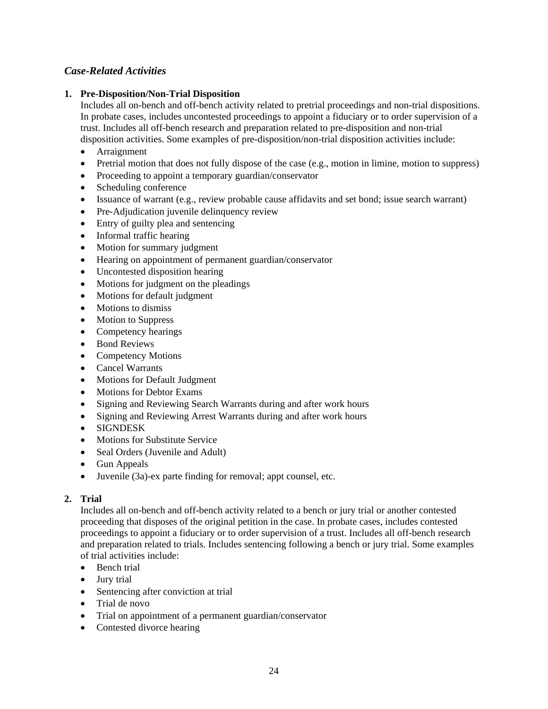# *Case-Related Activities*

# **1. Pre-Disposition/Non-Trial Disposition**

Includes all on-bench and off-bench activity related to pretrial proceedings and non-trial dispositions. In probate cases, includes uncontested proceedings to appoint a fiduciary or to order supervision of a trust. Includes all off-bench research and preparation related to pre-disposition and non-trial disposition activities. Some examples of pre-disposition/non-trial disposition activities include:

- Arraignment
- Pretrial motion that does not fully dispose of the case (e.g., motion in limine, motion to suppress)
- Proceeding to appoint a temporary guardian/conservator
- Scheduling conference
- Issuance of warrant  $(e.g., review probable cause affidavits and set bond; issue search warrant)$
- Pre-Adjudication juvenile delinquency review
- Entry of guilty plea and sentencing
- Informal traffic hearing
- Motion for summary judgment
- Hearing on appointment of permanent guardian/conservator
- Uncontested disposition hearing
- Motions for judgment on the pleadings
- Motions for default judgment
- Motions to dismiss
- Motion to Suppress
- Competency hearings
- Bond Reviews
- Competency Motions
- Cancel Warrants
- Motions for Default Judgment
- Motions for Debtor Exams
- Signing and Reviewing Search Warrants during and after work hours
- Signing and Reviewing Arrest Warrants during and after work hours
- SIGNDESK
- Motions for Substitute Service
- Seal Orders (Juvenile and Adult)
- Gun Appeals
- Juvenile (3a)-ex parte finding for removal; appt counsel, etc.

# **2. Trial**

Includes all on-bench and off-bench activity related to a bench or jury trial or another contested proceeding that disposes of the original petition in the case. In probate cases, includes contested proceedings to appoint a fiduciary or to order supervision of a trust. Includes all off-bench research and preparation related to trials. Includes sentencing following a bench or jury trial. Some examples of trial activities include:

- Bench trial
- Jury trial
- Sentencing after conviction at trial
- Trial de novo
- Trial on appointment of a permanent guardian/conservator
- Contested divorce hearing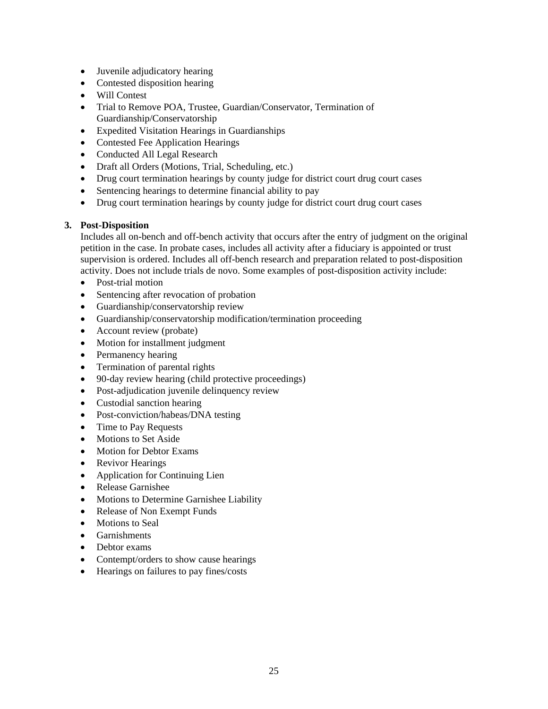- Juvenile adjudicatory hearing
- Contested disposition hearing
- Will Contest
- Trial to Remove POA, Trustee, Guardian/Conservator, Termination of Guardianship/Conservatorship
- Expedited Visitation Hearings in Guardianships
- Contested Fee Application Hearings
- Conducted All Legal Research
- Draft all Orders (Motions, Trial, Scheduling, etc.)
- Drug court termination hearings by county judge for district court drug court cases
- Sentencing hearings to determine financial ability to pay
- Drug court termination hearings by county judge for district court drug court cases

# **3. Post-Disposition**

Includes all on-bench and off-bench activity that occurs after the entry of judgment on the original petition in the case. In probate cases, includes all activity after a fiduciary is appointed or trust supervision is ordered. Includes all off-bench research and preparation related to post-disposition activity. Does not include trials de novo. Some examples of post-disposition activity include:

- Post-trial motion
- Sentencing after revocation of probation
- Guardianship/conservatorship review
- Guardianship/conservatorship modification/termination proceeding
- Account review (probate)
- Motion for installment judgment
- Permanency hearing
- Termination of parental rights
- 90-day review hearing (child protective proceedings)
- Post-adjudication juvenile delinquency review
- Custodial sanction hearing
- Post-conviction/habeas/DNA testing
- Time to Pay Requests
- Motions to Set Aside
- Motion for Debtor Exams
- Revivor Hearings
- Application for Continuing Lien
- Release Garnishee
- Motions to Determine Garnishee Liability
- Release of Non Exempt Funds
- Motions to Seal
- Garnishments
- Debtor exams
- Contempt/orders to show cause hearings
- Hearings on failures to pay fines/costs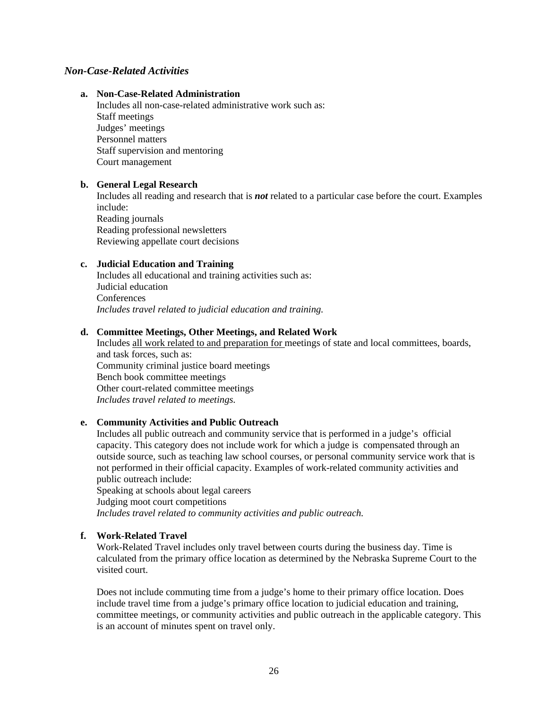# *Non-Case-Related Activities*

### **a. Non-Case-Related Administration**

Includes all non-case-related administrative work such as: Staff meetings Judges' meetings Personnel matters Staff supervision and mentoring Court management

#### **b. General Legal Research**

Includes all reading and research that is *not* related to a particular case before the court. Examples include: Reading journals Reading professional newsletters Reviewing appellate court decisions

#### **c. Judicial Education and Training**

Includes all educational and training activities such as: Judicial education **Conferences** *Includes travel related to judicial education and training.*

# **d. Committee Meetings, Other Meetings, and Related Work**

Includes all work related to and preparation for meetings of state and local committees, boards, and task forces, such as: Community criminal justice board meetings Bench book committee meetings Other court-related committee meetings *Includes travel related to meetings.*

#### **e. Community Activities and Public Outreach**

Includes all public outreach and community service that is performed in a judge's official capacity. This category does not include work for which a judge is compensated through an outside source, such as teaching law school courses, or personal community service work that is not performed in their official capacity. Examples of work-related community activities and public outreach include:

Speaking at schools about legal careers Judging moot court competitions *Includes travel related to community activities and public outreach.*

# **f. Work-Related Travel**

Work-Related Travel includes only travel between courts during the business day. Time is calculated from the primary office location as determined by the Nebraska Supreme Court to the visited court.

Does not include commuting time from a judge's home to their primary office location. Does include travel time from a judge's primary office location to judicial education and training, committee meetings, or community activities and public outreach in the applicable category. This is an account of minutes spent on travel only.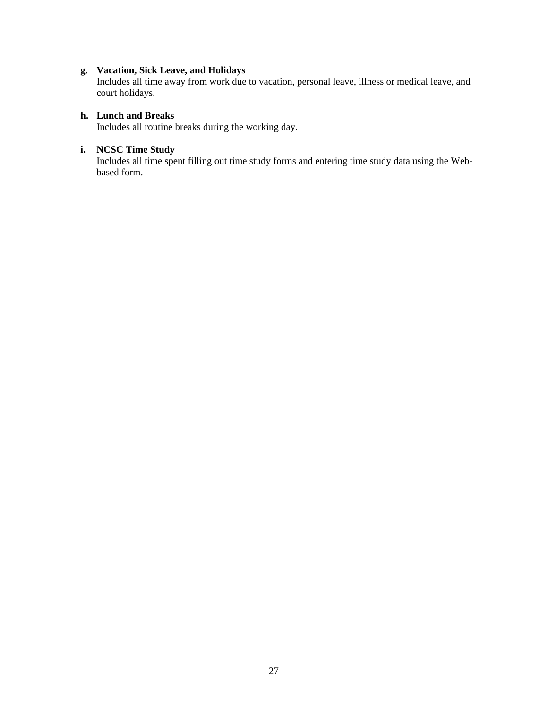# **g. Vacation, Sick Leave, and Holidays**

Includes all time away from work due to vacation, personal leave, illness or medical leave, and court holidays.

# **h. Lunch and Breaks**

Includes all routine breaks during the working day.

### **i. NCSC Time Study**

Includes all time spent filling out time study forms and entering time study data using the Webbased form.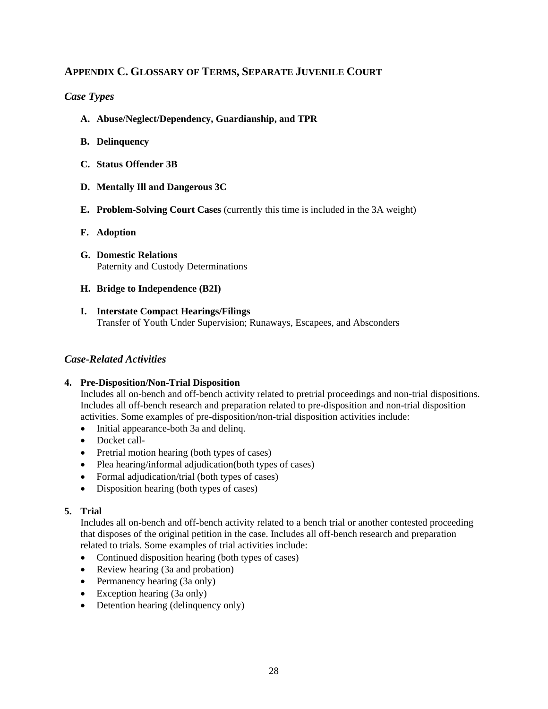# <span id="page-29-0"></span>**APPENDIX C. GLOSSARY OF TERMS, SEPARATE JUVENILE COURT**

# *Case Types*

**A. Abuse/Neglect/Dependency, Guardianship, and TPR**

# **B. Delinquency**

- **C. Status Offender 3B**
- **D. Mentally Ill and Dangerous 3C**
- **E. Problem-Solving Court Cases** (currently this time is included in the 3A weight)

# **F. Adoption**

**G. Domestic Relations** Paternity and Custody Determinations

# **H. Bridge to Independence (B2I)**

**I. Interstate Compact Hearings/Filings** Transfer of Youth Under Supervision; Runaways, Escapees, and Absconders

# *Case-Related Activities*

# **4. Pre-Disposition/Non-Trial Disposition**

Includes all on-bench and off-bench activity related to pretrial proceedings and non-trial dispositions. Includes all off-bench research and preparation related to pre-disposition and non-trial disposition activities. Some examples of pre-disposition/non-trial disposition activities include:

- Initial appearance-both 3a and delinq.
- Docket call-
- Pretrial motion hearing (both types of cases)
- Plea hearing/informal adjudication(both types of cases)
- Formal adjudication/trial (both types of cases)
- Disposition hearing (both types of cases)

# **5. Trial**

Includes all on-bench and off-bench activity related to a bench trial or another contested proceeding that disposes of the original petition in the case. Includes all off-bench research and preparation related to trials. Some examples of trial activities include:

- Continued disposition hearing (both types of cases)
- Review hearing (3a and probation)
- Permanency hearing (3a only)
- Exception hearing (3a only)
- Detention hearing (delinquency only)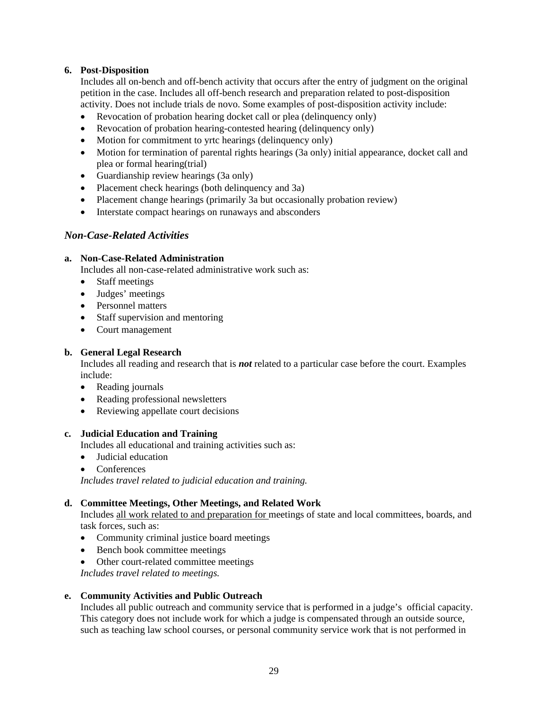# **6. Post-Disposition**

Includes all on-bench and off-bench activity that occurs after the entry of judgment on the original petition in the case. Includes all off-bench research and preparation related to post-disposition activity. Does not include trials de novo. Some examples of post-disposition activity include:

- Revocation of probation hearing docket call or plea (delinquency only)
- Revocation of probation hearing-contested hearing (delinquency only)
- Motion for commitment to yrtc hearings (delinquency only)
- Motion for termination of parental rights hearings (3a only) initial appearance, docket call and plea or formal hearing(trial)
- Guardianship review hearings (3a only)
- Placement check hearings (both delinquency and 3a)
- Placement change hearings (primarily 3a but occasionally probation review)
- Interstate compact hearings on runaways and absconders

# *Non-Case-Related Activities*

# **a. Non-Case-Related Administration**

Includes all non-case-related administrative work such as:

- Staff meetings
- Judges' meetings
- Personnel matters
- Staff supervision and mentoring
- Court management

# **b. General Legal Research**

Includes all reading and research that is *not* related to a particular case before the court. Examples include:

- Reading journals
- Reading professional newsletters
- Reviewing appellate court decisions

# **c. Judicial Education and Training**

Includes all educational and training activities such as:

- Judicial education
- Conferences

*Includes travel related to judicial education and training.*

# **d. Committee Meetings, Other Meetings, and Related Work**

Includes all work related to and preparation for meetings of state and local committees, boards, and task forces, such as:

- Community criminal justice board meetings
- Bench book committee meetings
- Other court-related committee meetings

*Includes travel related to meetings.*

# **e. Community Activities and Public Outreach**

Includes all public outreach and community service that is performed in a judge's official capacity. This category does not include work for which a judge is compensated through an outside source, such as teaching law school courses, or personal community service work that is not performed in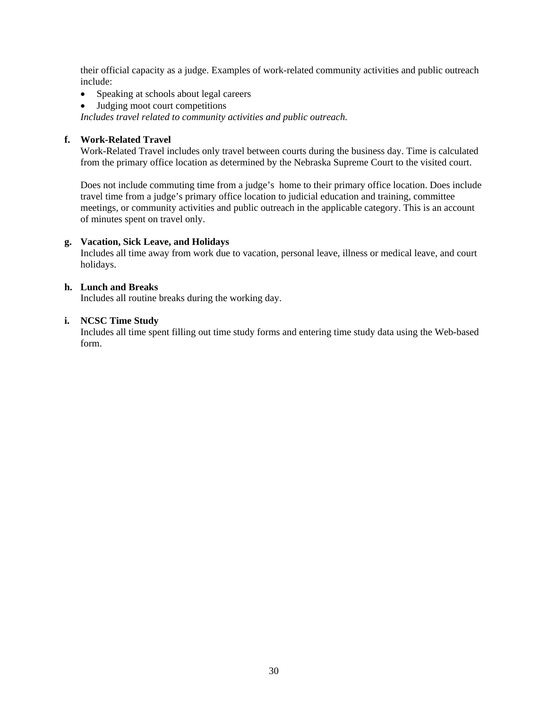their official capacity as a judge. Examples of work-related community activities and public outreach include:

- Speaking at schools about legal careers
- Judging moot court competitions

*Includes travel related to community activities and public outreach.*

# **f. Work-Related Travel**

Work-Related Travel includes only travel between courts during the business day. Time is calculated from the primary office location as determined by the Nebraska Supreme Court to the visited court.

Does not include commuting time from a judge's home to their primary office location. Does include travel time from a judge's primary office location to judicial education and training, committee meetings, or community activities and public outreach in the applicable category. This is an account of minutes spent on travel only.

# **g. Vacation, Sick Leave, and Holidays**

Includes all time away from work due to vacation, personal leave, illness or medical leave, and court holidays.

# **h. Lunch and Breaks**

Includes all routine breaks during the working day.

# **i. NCSC Time Study**

Includes all time spent filling out time study forms and entering time study data using the Web-based form.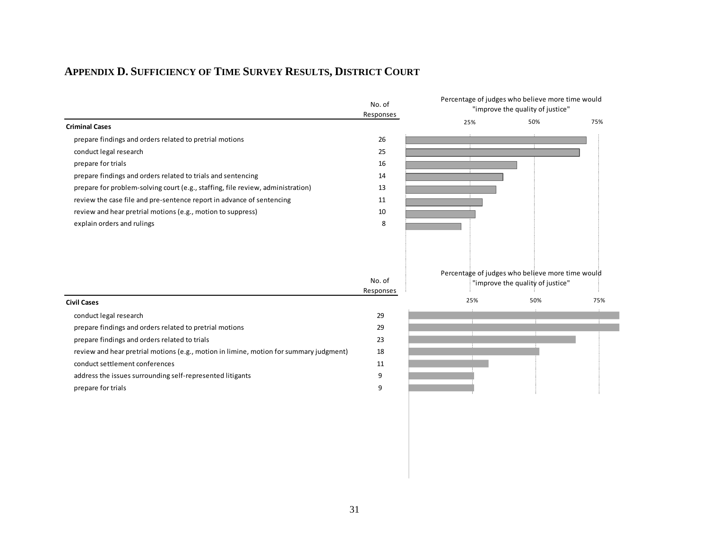# **APPENDIX D. SUFFICIENCY OF TIME SURVEY RESULTS, DISTRICT COURT**

<span id="page-32-0"></span>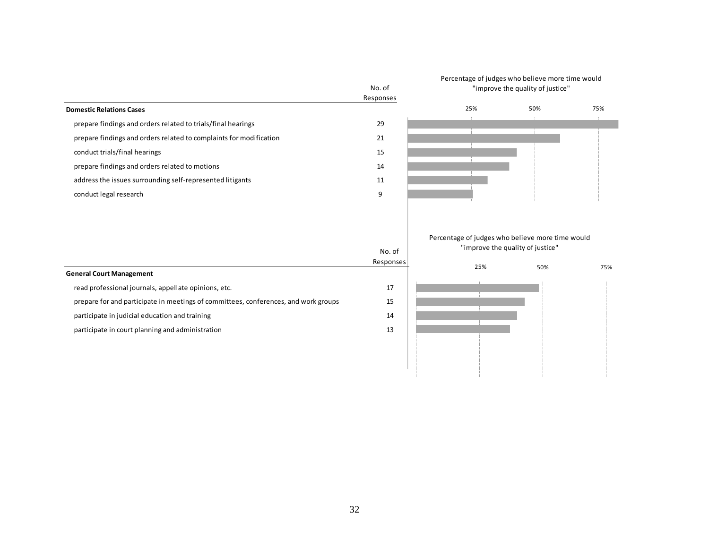

32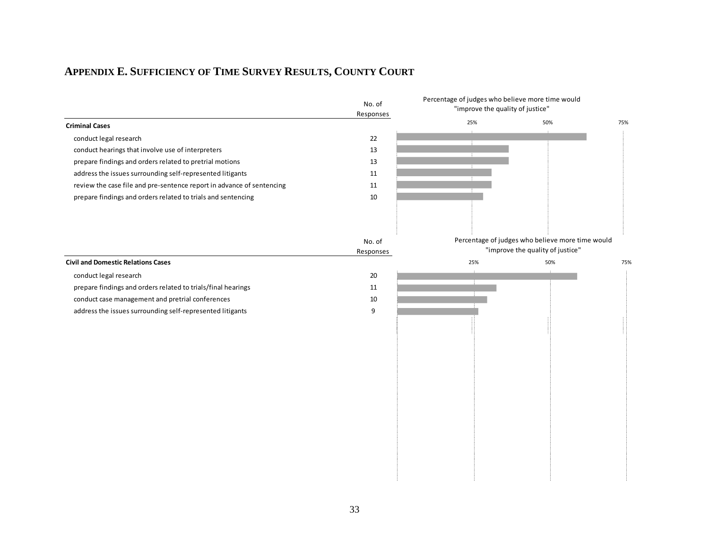# **APPENDIX E. SUFFICIENCY OF TIME SURVEY RESULTS, COUNTY COURT**

<span id="page-34-0"></span>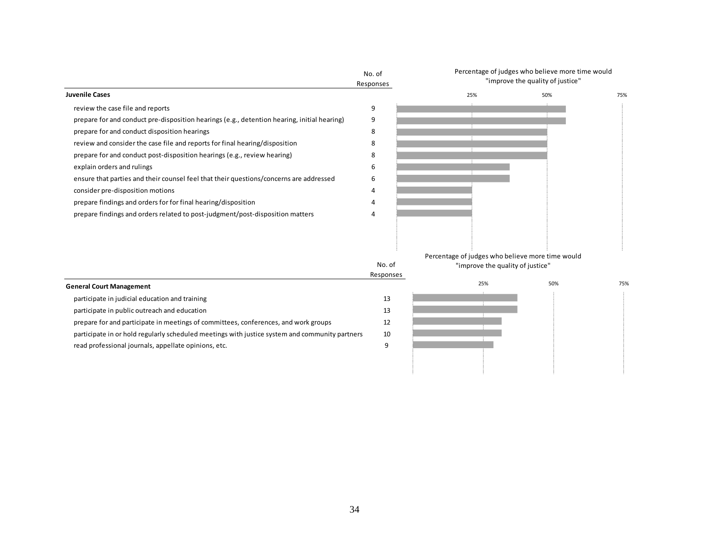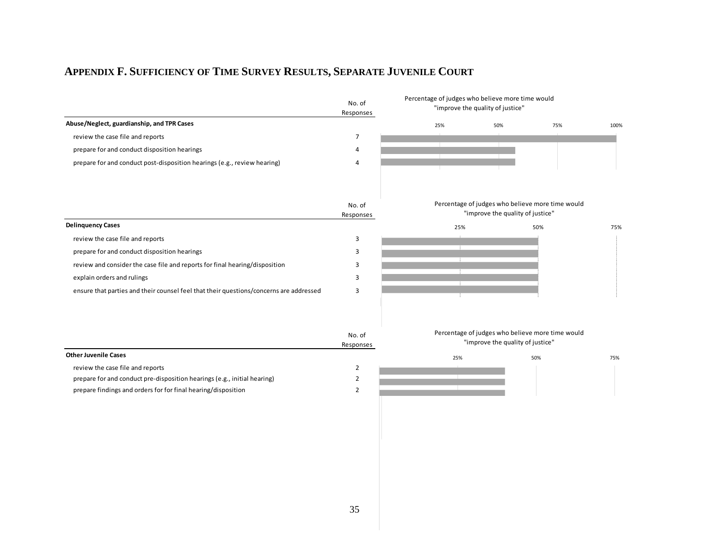# **APPENDIX F. SUFFICIENCY OF TIME SURVEY RESULTS, SEPARATE JUVENILE COURT**

<span id="page-36-0"></span>![](_page_36_Figure_1.jpeg)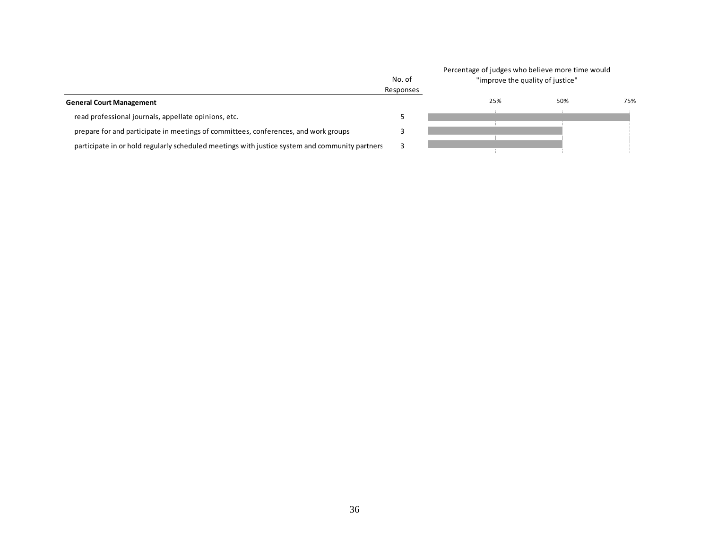|                                                                                                | No. of<br>Responses | Percentage of judges who believe more time would<br>"improve the quality of justice" |     |     |
|------------------------------------------------------------------------------------------------|---------------------|--------------------------------------------------------------------------------------|-----|-----|
| <b>General Court Management</b>                                                                |                     | 25%                                                                                  | 50% | 75% |
| read professional journals, appellate opinions, etc.                                           |                     |                                                                                      |     |     |
| prepare for and participate in meetings of committees, conferences, and work groups            |                     |                                                                                      |     |     |
| participate in or hold regularly scheduled meetings with justice system and community partners |                     |                                                                                      |     |     |
|                                                                                                |                     |                                                                                      |     |     |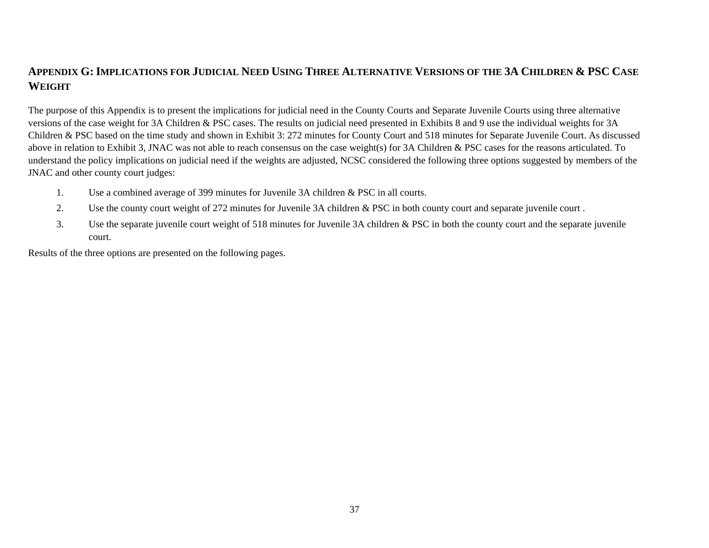# **APPENDIX G: IMPLICATIONS FOR JUDICIAL NEED USING THREE ALTERNATIVE VERSIONS OF THE 3A CHILDREN & PSC CASE WEIGHT**

The purpose of this Appendix is to present the implications for judicial need in the County Courts and Separate Juvenile Courts using three alternative versions of the case weight for 3A Children & PSC cases. The results on judicial need presented in Exhibits 8 and 9 use the individual weights for 3A Children & PSC based on the time study and shown in Exhibit 3: 272 minutes for County Court and 518 minutes for Separate Juvenile Court. As discussed above in relation to Exhibit 3, JNAC was not able to reach consensus on the case weight(s) for 3A Children & PSC cases for the reasons articulated. To understand the policy implications on judicial need if the weights are adjusted, NCSC considered the following three options suggested by members of the JNAC and other county court judges:

- 1. Use a combined average of 399 minutes for Juvenile 3A children & PSC in all courts.
- 2. Use the county court weight of 272 minutes for Juvenile 3A children & PSC in both county court and separate juvenile court .
- 3. Use the separate juvenile court weight of 518 minutes for Juvenile 3A children & PSC in both the county court and the separate juvenile court.

<span id="page-38-0"></span>Results of the three options are presented on the following pages.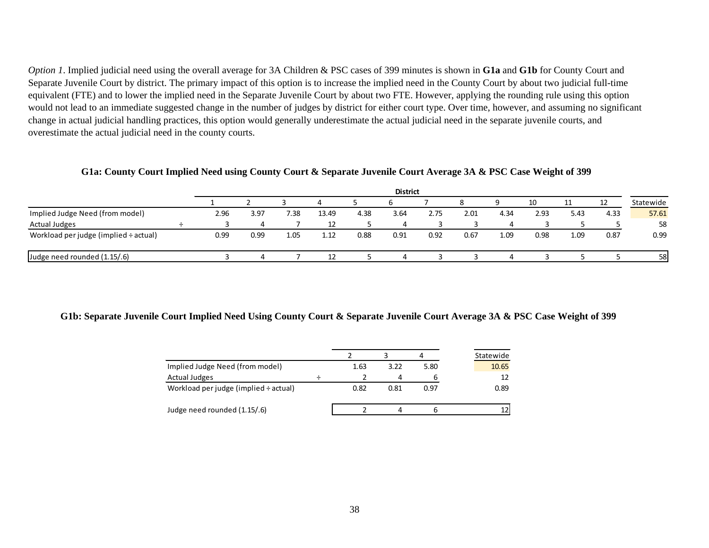*Option 1*. Implied judicial need using the overall average for 3A Children & PSC cases of 399 minutes is shown in **G1a** and **G1b** for County Court and Separate Juvenile Court by district. The primary impact of this option is to increase the implied need in the County Court by about two judicial full-time equivalent (FTE) and to lower the implied need in the Separate Juvenile Court by about two FTE. However, applying the rounding rule using this option would not lead to an immediate suggested change in the number of judges by district for either court type. Over time, however, and assuming no significant change in actual judicial handling practices, this option would generally underestimate the actual judicial need in the separate juvenile courts, and overestimate the actual judicial need in the county courts.

#### **G1a: County Court Implied Need using County Court & Separate Juvenile Court Average 3A & PSC Case Weight of 399**

|                                       |      | <b>District</b> |      |       |      |      |      |      |      |      |      |      |           |
|---------------------------------------|------|-----------------|------|-------|------|------|------|------|------|------|------|------|-----------|
|                                       |      |                 |      |       |      |      |      |      |      | 10   | ᆠ    | 12   | Statewide |
| Implied Judge Need (from model)       | 2.96 | 3.97            | 7.38 | 13.49 | 4.38 | 3.64 | 2.75 | 2.01 | 4.34 | 2.93 | 5.43 | 4.33 | 57.61     |
| <b>Actual Judges</b>                  |      |                 |      | 12    |      |      |      |      |      |      |      |      | 58        |
| Workload per judge (implied ÷ actual) | 0.99 | 0.99            | 1.05 | 1.12  | 0.88 | 0.91 | 0.92 | 0.67 | 1.09 | 0.98 | 1.09 | 0.87 | 0.99      |
| Judge need rounded (1.15/.6)          |      |                 |      |       |      |      |      |      |      |      |      |      | 58        |

#### **G1b: Separate Juvenile Court Implied Need Using County Court & Separate Juvenile Court Average 3A & PSC Case Weight of 399**

|                                       |      |      |      | Statewide |
|---------------------------------------|------|------|------|-----------|
| Implied Judge Need (from model)       | 1.63 | 3.22 | 5.80 | 10.65     |
| <b>Actual Judges</b>                  |      | 4    | ь    | 12        |
| Workload per judge (implied ÷ actual) | 0.82 | 0.81 | 0.97 | 0.89      |
| Judge need rounded (1.15/.6)          |      |      | h    |           |
|                                       |      |      |      |           |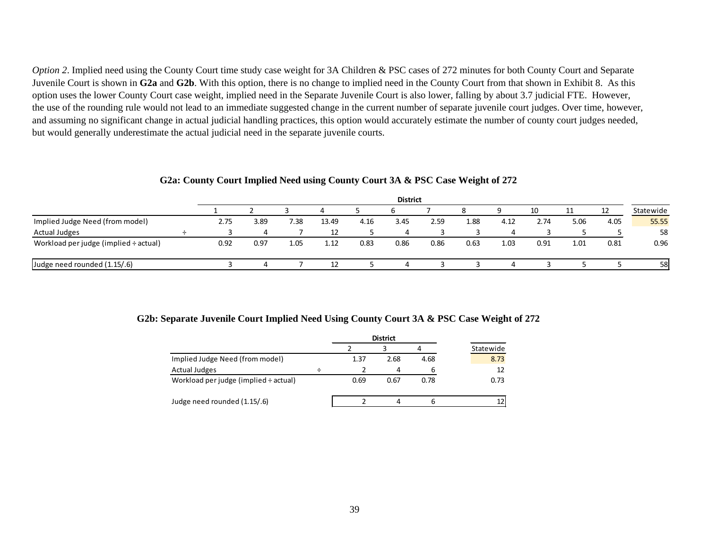*Option 2*. Implied need using the County Court time study case weight for 3A Children & PSC cases of 272 minutes for both County Court and Separate Juvenile Court is shown in **G2a** and **G2b**. With this option, there is no change to implied need in the County Court from that shown in Exhibit 8. As this option uses the lower County Court case weight, implied need in the Separate Juvenile Court is also lower, falling by about 3.7 judicial FTE. However, the use of the rounding rule would not lead to an immediate suggested change in the current number of separate juvenile court judges. Over time, however, and assuming no significant change in actual judicial handling practices, this option would accurately estimate the number of county court judges needed, but would generally underestimate the actual judicial need in the separate juvenile courts.

#### **G2a: County Court Implied Need using County Court 3A & PSC Case Weight of 272**

|                                       |      | <b>District</b> |      |       |      |      |      |      |      |      |      |      |           |
|---------------------------------------|------|-----------------|------|-------|------|------|------|------|------|------|------|------|-----------|
|                                       |      |                 |      |       |      |      |      |      |      | 10   |      | ᅩᄼ   | Statewide |
| Implied Judge Need (from model)       | 2.75 | 3.89            | 7.38 | 13.49 | 4.16 | 3.45 | 2.59 | 1.88 | 4.12 | 2.74 | 5.06 | 4.05 | 55.55     |
| <b>Actual Judges</b>                  |      |                 |      |       |      |      |      |      |      |      |      |      | 58        |
| Workload per judge (implied ÷ actual) | 0.92 | 0.97            | 1.05 | 1.12  | 0.83 | 0.86 | 0.86 | 0.63 | 1.03 | 0.91 | 1.01 | 0.81 | 0.96      |
| Judge need rounded (1.15/.6)          |      |                 |      |       |      |      |      |      |      |      |      |      | 58        |

#### **G2b: Separate Juvenile Court Implied Need Using County Court 3A & PSC Case Weight of 272**

|                                       | <b>District</b> |      |      |           |
|---------------------------------------|-----------------|------|------|-----------|
|                                       |                 |      |      | Statewide |
| Implied Judge Need (from model)       | 1.37            | 2.68 | 4.68 | 8.73      |
| <b>Actual Judges</b>                  |                 | 4    | 6    | 12        |
| Workload per judge (implied ÷ actual) | 0.69            | 0.67 | 0.78 | 0.73      |
| Judge need rounded (1.15/.6)          |                 | л    |      |           |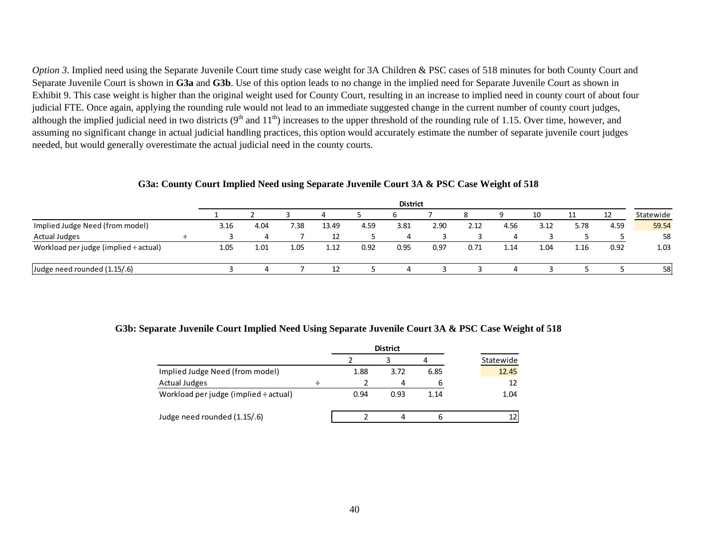*Option 3*. Implied need using the Separate Juvenile Court time study case weight for 3A Children & PSC cases of 518 minutes for both County Court and Separate Juvenile Court is shown in **G3a** and **G3b**. Use of this option leads to no change in the implied need for Separate Juvenile Court as shown in Exhibit 9. This case weight is higher than the original weight used for County Court, resulting in an increase to implied need in county court of about four judicial FTE. Once again, applying the rounding rule would not lead to an immediate suggested change in the current number of county court judges, although the implied judicial need in two districts  $(9<sup>th</sup>$  and  $11<sup>th</sup>)$  increases to the upper threshold of the rounding rule of 1.15. Over time, however, and assuming no significant change in actual judicial handling practices, this option would accurately estimate the number of separate juvenile court judges needed, but would generally overestimate the actual judicial need in the county courts.

# **G3a: County Court Implied Need using Separate Juvenile Court 3A & PSC Case Weight of 518**

|                                       |      | <b>District</b> |      |       |      |      |      |      |      |      |      |      |           |
|---------------------------------------|------|-----------------|------|-------|------|------|------|------|------|------|------|------|-----------|
|                                       |      |                 |      |       |      |      |      |      |      | 10   | 11   | 12   | Statewide |
| Implied Judge Need (from model)       | 3.16 | 4.04            | 7.38 | 13.49 | 4.59 | 3.81 | 2.90 | 2.12 | 4.56 | 3.12 | 5.78 | 4.59 | 59.54     |
| Actual Judges                         |      | 4               |      | 12    |      |      |      |      |      |      |      |      | 58        |
| Workload per judge (implied ÷ actual) | 1.05 | 1.01            | 1.05 | 1.12  | 0.92 | 0.95 | 0.97 | 0.71 | 1.14 | 1.04 | 1.16 | 0.92 | 1.03      |
| Judge need rounded (1.15/.6)          |      |                 |      |       |      |      |      |      |      |      |      |      | 58        |

#### **G3b: Separate Juvenile Court Implied Need Using Separate Juvenile Court 3A & PSC Case Weight of 518**

|                                            |      | <b>District</b> |      |           |
|--------------------------------------------|------|-----------------|------|-----------|
|                                            |      |                 |      | Statewide |
| Implied Judge Need (from model)            | 1.88 | 3.72            | 6.85 | 12.45     |
| <b>Actual Judges</b>                       |      | 4               | h    | 12        |
| Workload per judge (implied $\div$ actual) | 0.94 | 0.93            | 1.14 | 1.04      |
| Judge need rounded (1.15/.6)               |      |                 | ь    |           |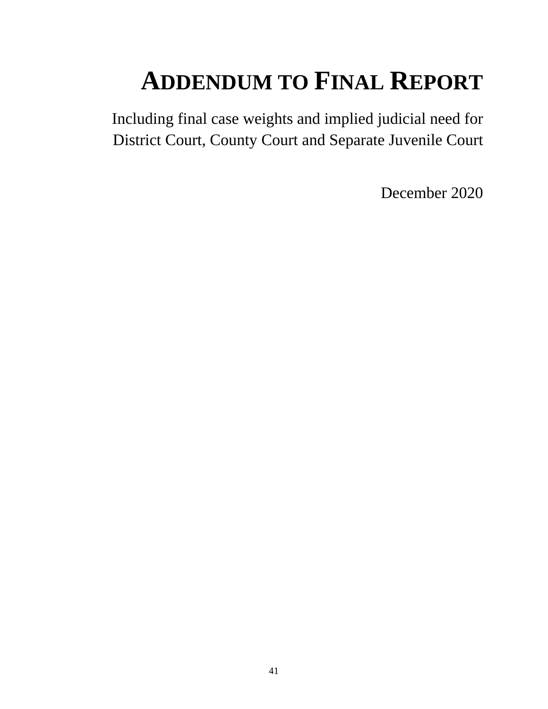# **ADDENDUM TO FINAL REPORT**

<span id="page-42-0"></span>Including final case weights and implied judicial need for District Court, County Court and Separate Juvenile Court

December 2020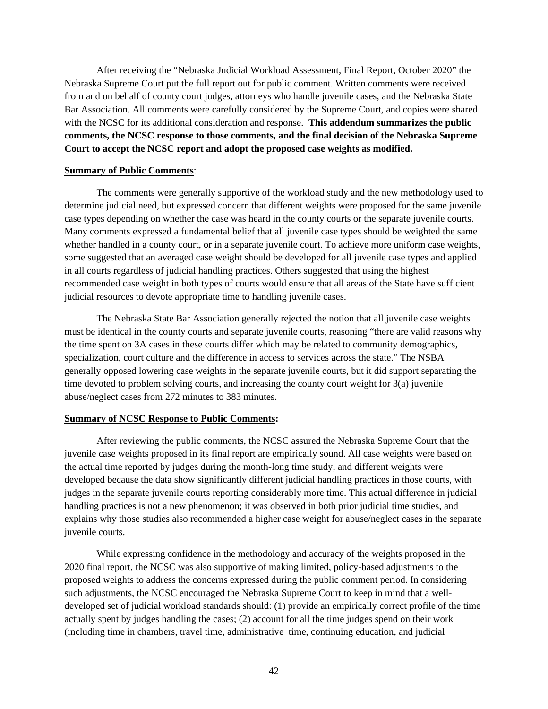After receiving the "Nebraska Judicial Workload Assessment, Final Report, October 2020" the Nebraska Supreme Court put the full report out for public comment. Written comments were received from and on behalf of county court judges, attorneys who handle juvenile cases, and the Nebraska State Bar Association. All comments were carefully considered by the Supreme Court, and copies were shared with the NCSC for its additional consideration and response. **This addendum summarizes the public comments, the NCSC response to those comments, and the final decision of the Nebraska Supreme Court to accept the NCSC report and adopt the proposed case weights as modified.**

#### **Summary of Public Comments**:

The comments were generally supportive of the workload study and the new methodology used to determine judicial need, but expressed concern that different weights were proposed for the same juvenile case types depending on whether the case was heard in the county courts or the separate juvenile courts. Many comments expressed a fundamental belief that all juvenile case types should be weighted the same whether handled in a county court, or in a separate juvenile court. To achieve more uniform case weights, some suggested that an averaged case weight should be developed for all juvenile case types and applied in all courts regardless of judicial handling practices. Others suggested that using the highest recommended case weight in both types of courts would ensure that all areas of the State have sufficient judicial resources to devote appropriate time to handling juvenile cases.

The Nebraska State Bar Association generally rejected the notion that all juvenile case weights must be identical in the county courts and separate juvenile courts, reasoning "there are valid reasons why the time spent on 3A cases in these courts differ which may be related to community demographics, specialization, court culture and the difference in access to services across the state." The NSBA generally opposed lowering case weights in the separate juvenile courts, but it did support separating the time devoted to problem solving courts, and increasing the county court weight for 3(a) juvenile abuse/neglect cases from 272 minutes to 383 minutes.

# **Summary of NCSC Response to Public Comments:**

After reviewing the public comments, the NCSC assured the Nebraska Supreme Court that the juvenile case weights proposed in its final report are empirically sound. All case weights were based on the actual time reported by judges during the month-long time study, and different weights were developed because the data show significantly different judicial handling practices in those courts, with judges in the separate juvenile courts reporting considerably more time. This actual difference in judicial handling practices is not a new phenomenon; it was observed in both prior judicial time studies, and explains why those studies also recommended a higher case weight for abuse/neglect cases in the separate juvenile courts.

While expressing confidence in the methodology and accuracy of the weights proposed in the 2020 final report, the NCSC was also supportive of making limited, policy-based adjustments to the proposed weights to address the concerns expressed during the public comment period. In considering such adjustments, the NCSC encouraged the Nebraska Supreme Court to keep in mind that a welldeveloped set of judicial workload standards should: (1) provide an empirically correct profile of the time actually spent by judges handling the cases; (2) account for all the time judges spend on their work (including time in chambers, travel time, administrative time, continuing education, and judicial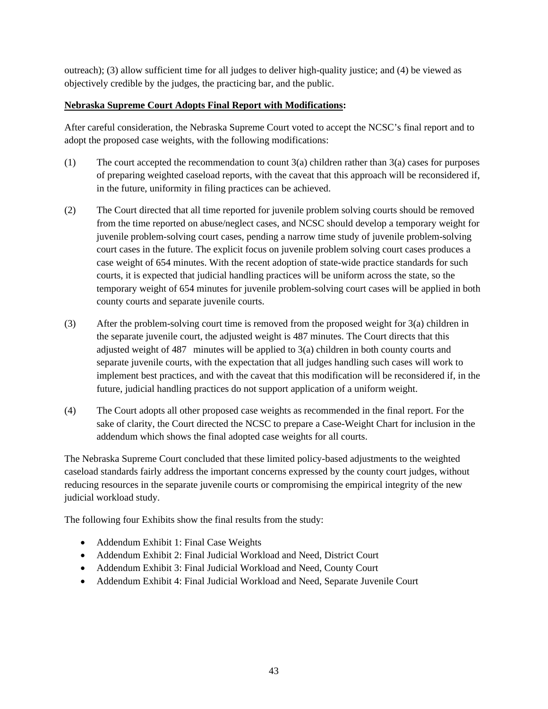outreach); (3) allow sufficient time for all judges to deliver high-quality justice; and (4) be viewed as objectively credible by the judges, the practicing bar, and the public.

# **Nebraska Supreme Court Adopts Final Report with Modifications:**

After careful consideration, the Nebraska Supreme Court voted to accept the NCSC's final report and to adopt the proposed case weights, with the following modifications:

- (1) The court accepted the recommendation to count 3(a) children rather than 3(a) cases for purposes of preparing weighted caseload reports, with the caveat that this approach will be reconsidered if, in the future, uniformity in filing practices can be achieved.
- (2) The Court directed that all time reported for juvenile problem solving courts should be removed from the time reported on abuse/neglect cases, and NCSC should develop a temporary weight for juvenile problem-solving court cases, pending a narrow time study of juvenile problem-solving court cases in the future. The explicit focus on juvenile problem solving court cases produces a case weight of 654 minutes. With the recent adoption of state-wide practice standards for such courts, it is expected that judicial handling practices will be uniform across the state, so the temporary weight of 654 minutes for juvenile problem-solving court cases will be applied in both county courts and separate juvenile courts.
- (3) After the problem-solving court time is removed from the proposed weight for 3(a) children in the separate juvenile court, the adjusted weight is 487 minutes. The Court directs that this adjusted weight of 487 minutes will be applied to 3(a) children in both county courts and separate juvenile courts, with the expectation that all judges handling such cases will work to implement best practices, and with the caveat that this modification will be reconsidered if, in the future, judicial handling practices do not support application of a uniform weight.
- (4) The Court adopts all other proposed case weights as recommended in the final report. For the sake of clarity, the Court directed the NCSC to prepare a Case-Weight Chart for inclusion in the addendum which shows the final adopted case weights for all courts.

The Nebraska Supreme Court concluded that these limited policy-based adjustments to the weighted caseload standards fairly address the important concerns expressed by the county court judges, without reducing resources in the separate juvenile courts or compromising the empirical integrity of the new judicial workload study.

The following four Exhibits show the final results from the study:

- Addendum Exhibit 1: Final Case Weights
- Addendum Exhibit 2: Final Judicial Workload and Need, District Court
- Addendum Exhibit 3: Final Judicial Workload and Need, County Court
- Addendum Exhibit 4: Final Judicial Workload and Need, Separate Juvenile Court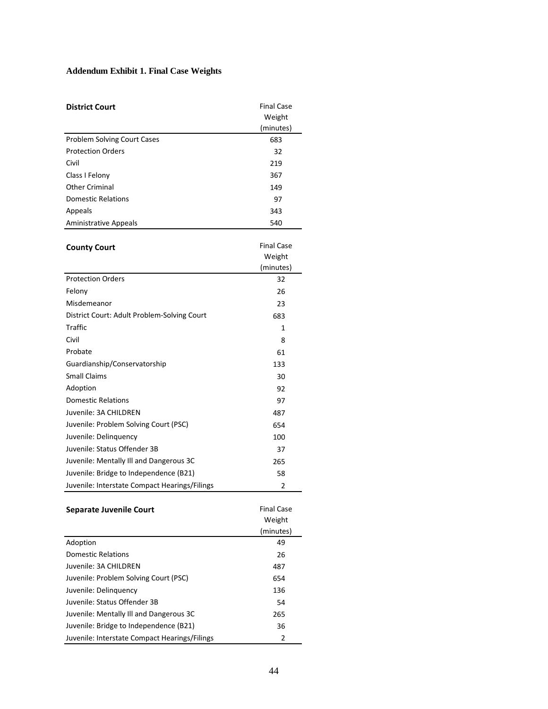# **Addendum Exhibit 1. Final Case Weights**

| <b>District Court</b>              | <b>Final Case</b><br>Weight<br>(minutes) |
|------------------------------------|------------------------------------------|
| <b>Problem Solving Court Cases</b> | 683                                      |
| <b>Protection Orders</b>           | 32                                       |
| Civil                              | 219                                      |
| Class I Felony                     | 367                                      |
| Other Criminal                     | 149                                      |
| <b>Domestic Relations</b>          | 97                                       |
| Appeals                            | 343                                      |
| <b>Aministrative Appeals</b>       | 540                                      |

| <b>County Court</b>                           | <b>Final Case</b><br>Weight |
|-----------------------------------------------|-----------------------------|
|                                               | (minutes)                   |
| <b>Protection Orders</b>                      | 32                          |
| Felony                                        | 26                          |
| Misdemeanor                                   | 23                          |
| District Court: Adult Problem-Solving Court   | 683                         |
| Traffic                                       | 1                           |
| Civil                                         | 8                           |
| Probate                                       | 61                          |
| Guardianship/Conservatorship                  | 133                         |
| <b>Small Claims</b>                           | 30                          |
| Adoption                                      | 92                          |
| <b>Domestic Relations</b>                     | 97                          |
| Juvenile: 3A CHILDREN                         | 487                         |
| Juvenile: Problem Solving Court (PSC)         | 654                         |
| Juvenile: Delinguency                         | 100                         |
| Juvenile: Status Offender 3B                  | 37                          |
| Juvenile: Mentally Ill and Dangerous 3C       | 265                         |
| Juvenile: Bridge to Independence (B21)        | 58                          |
| Juvenile: Interstate Compact Hearings/Filings | 2                           |

| Separate Juvenile Court                       | <b>Final Case</b> |
|-----------------------------------------------|-------------------|
|                                               | Weight            |
|                                               | (minutes)         |
| Adoption                                      | 49                |
| <b>Domestic Relations</b>                     | 26                |
| Juvenile: 3A CHILDREN                         | 487               |
| Juvenile: Problem Solving Court (PSC)         | 654               |
| Juvenile: Delinguency                         | 136               |
| Juvenile: Status Offender 3B                  | 54                |
| Juvenile: Mentally Ill and Dangerous 3C       | 265               |
| Juvenile: Bridge to Independence (B21)        | 36                |
| Juvenile: Interstate Compact Hearings/Filings | 2                 |